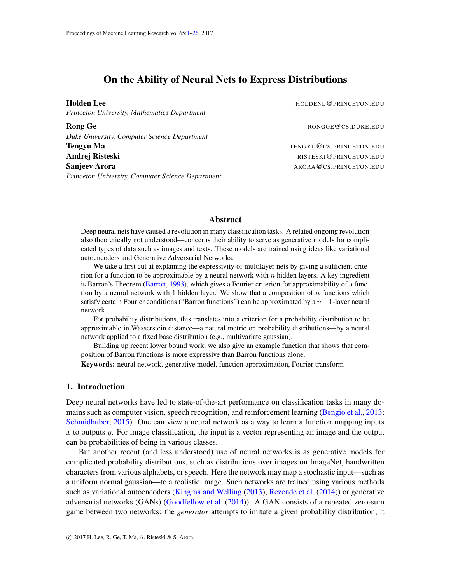# On the Ability of Neural Nets to Express Distributions

<span id="page-0-0"></span>Holden Lee HOLDENL@PRINCETON.EDU *Princeton University, Mathematics Department*

Rong Ge **Rong Ge RONGGE@CS.DUKE.EDU** *Duke University, Computer Science Department* Tengyu Ma TENGYU@CS.PRINCETON.EDU Andrej Risteski RISTESKI@PRINCETON.EDU Sanjeev Arora ARORA ARORA ARORA ARORA ARORA ARORA ARORA ARORA ARORA ARORA ARORA ARORA ARORA ARORA ARORA ARORA ARORA ARORA ARORA ARORA ARORA ARORA ARORA ARORA ARORA ARORA ARORA ARORA ARORA ARORA ARORA ARORA ARORA ARORA AROR *Princeton University, Computer Science Department*

# Abstract

Deep neural nets have caused a revolution in many classification tasks. A related ongoing revolution also theoretically not understood—concerns their ability to serve as generative models for complicated types of data such as images and texts. These models are trained using ideas like variational autoencoders and Generative Adversarial Networks.

We take a first cut at explaining the expressivity of multilayer nets by giving a sufficient criterion for a function to be approximable by a neural network with  $n$  hidden layers. A key ingredient is Barron's Theorem [\(Barron,](#page-13-0) [1993\)](#page-13-0), which gives a Fourier criterion for approximability of a function by a neural network with 1 hidden layer. We show that a composition of  $n$  functions which satisfy certain Fourier conditions ("Barron functions") can be approximated by a  $n + 1$ -layer neural network.

For probability distributions, this translates into a criterion for a probability distribution to be approximable in Wasserstein distance—a natural metric on probability distributions—by a neural network applied to a fixed base distribution (e.g., multivariate gaussian).

Building up recent lower bound work, we also give an example function that shows that composition of Barron functions is more expressive than Barron functions alone.

Keywords: neural network, generative model, function approximation, Fourier transform

## 1. Introduction

Deep neural networks have led to state-of-the-art performance on classification tasks in many domains such as computer vision, speech recognition, and reinforcement learning [\(Bengio et al.,](#page-13-1) [2013;](#page-13-1) [Schmidhuber,](#page-14-0) [2015\)](#page-14-0). One can view a neural network as a way to learn a function mapping inputs x to outputs y. For image classification, the input is a vector representing an image and the output can be probabilities of being in various classes.

But another recent (and less understood) use of neural networks is as generative models for complicated probability distributions, such as distributions over images on ImageNet, handwritten characters from various alphabets, or speech. Here the network may map a stochastic input—such as a uniform normal gaussian—to a realistic image. Such networks are trained using various methods such as variational autoencoders [\(Kingma and Welling](#page-14-1) [\(2013\)](#page-14-1), [Rezende et al.](#page-14-2) [\(2014\)](#page-14-2)) or generative adversarial networks (GANs) [\(Goodfellow et al.](#page-13-2) [\(2014\)](#page-13-2)). A GAN consists of a repeated zero-sum game between two networks: the *generator* attempts to imitate a given probability distribution; it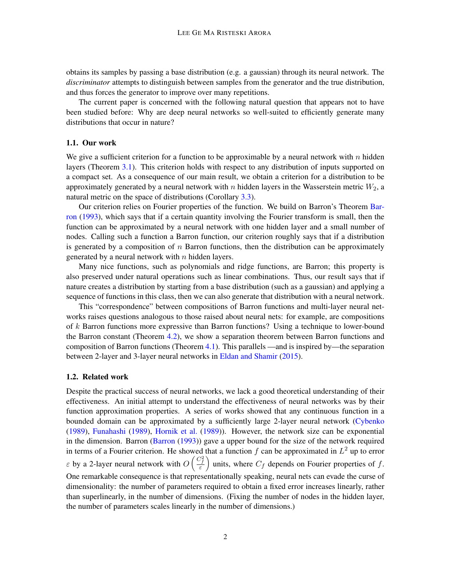obtains its samples by passing a base distribution (e.g. a gaussian) through its neural network. The *discriminator* attempts to distinguish between samples from the generator and the true distribution, and thus forces the generator to improve over many repetitions.

The current paper is concerned with the following natural question that appears not to have been studied before: Why are deep neural networks so well-suited to efficiently generate many distributions that occur in nature?

## 1.1. Our work

We give a sufficient criterion for a function to be approximable by a neural network with  $n$  hidden layers (Theorem [3.1\)](#page-5-0). This criterion holds with respect to any distribution of inputs supported on a compact set. As a consequence of our main result, we obtain a criterion for a distribution to be approximately generated by a neural network with  $n$  hidden layers in the Wasserstein metric  $W_2$ , a natural metric on the space of distributions (Corollary [3.3\)](#page-6-0).

Our criterion relies on Fourier properties of the function. We build on Barron's Theorem [Bar](#page-13-0)[ron](#page-13-0) [\(1993\)](#page-13-0), which says that if a certain quantity involving the Fourier transform is small, then the function can be approximated by a neural network with one hidden layer and a small number of nodes. Calling such a function a Barron function, our criterion roughly says that if a distribution is generated by a composition of  $n$  Barron functions, then the distribution can be approximately generated by a neural network with  $n$  hidden layers.

Many nice functions, such as polynomials and ridge functions, are Barron; this property is also preserved under natural operations such as linear combinations. Thus, our result says that if nature creates a distribution by starting from a base distribution (such as a gaussian) and applying a sequence of functions in this class, then we can also generate that distribution with a neural network.

This "correspondence" between compositions of Barron functions and multi-layer neural networks raises questions analogous to those raised about neural nets: for example, are compositions of  $k$  Barron functions more expressive than Barron functions? Using a technique to lower-bound the Barron constant (Theorem [4.2\)](#page-11-0), we show a separation theorem between Barron functions and composition of Barron functions (Theorem [4.1\)](#page-9-0). This parallels —and is inspired by—the separation between 2-layer and 3-layer neural networks in [Eldan and Shamir](#page-13-3) [\(2015\)](#page-13-3).

### 1.2. Related work

Despite the practical success of neural networks, we lack a good theoretical understanding of their effectiveness. An initial attempt to understand the effectiveness of neural networks was by their function approximation properties. A series of works showed that any continuous function in a bounded domain can be approximated by a sufficiently large 2-layer neural network [\(Cybenko](#page-13-4) [\(1989\)](#page-13-4), [Funahashi](#page-13-5) [\(1989\)](#page-13-5), [Hornik et al.](#page-13-6) [\(1989\)](#page-13-6)). However, the network size can be exponential in the dimension. Barron [\(Barron](#page-13-0) [\(1993\)](#page-13-0)) gave a upper bound for the size of the network required in terms of a Fourier criterion. He showed that a function  $f$  can be approximated in  $L^2$  up to error  $\varepsilon$  by a 2-layer neural network with  $O\left(\frac{C_f^2}{\varepsilon}\right)$ ) units, where  $C_f$  depends on Fourier properties of f. One remarkable consequence is that representationally speaking, neural nets can evade the curse of dimensionality: the number of parameters required to obtain a fixed error increases linearly, rather than superlinearly, in the number of dimensions. (Fixing the number of nodes in the hidden layer, the number of parameters scales linearly in the number of dimensions.)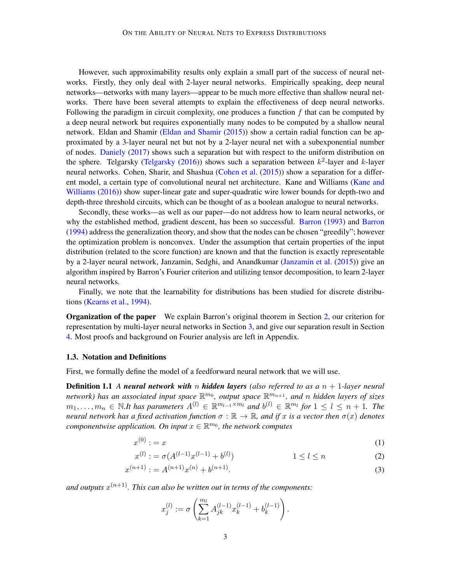However, such approximability results only explain a small part of the success of neural networks. Firstly, they only deal with 2-layer neural networks. Empirically speaking, deep neural networks—networks with many layers—appear to be much more effective than shallow neural networks. There have been several attempts to explain the effectiveness of deep neural networks. Following the paradigm in circuit complexity, one produces a function  $f$  that can be computed by a deep neural network but requires exponentially many nodes to be computed by a shallow neural network. Eldan and Shamir [\(Eldan and Shamir](#page-13-3) [\(2015\)](#page-13-3)) show a certain radial function can be approximated by a 3-layer neural net but not by a 2-layer neural net with a subexponential number of nodes. [Daniely](#page-13-7) [\(2017\)](#page-13-7) shows such a separation but with respect to the uniform distribution on the sphere. Telgarsky [\(Telgarsky](#page-14-3) [\(2016\)](#page-14-3)) shows such a separation between  $k^2$ -layer and k-layer neural networks. Cohen, Sharir, and Shashua [\(Cohen et al.](#page-13-8) [\(2015\)](#page-13-8)) show a separation for a different model, a certain type of convolutional neural net architecture. Kane and Williams [\(Kane and](#page-13-9) [Williams](#page-13-9) [\(2016\)](#page-13-9)) show super-linear gate and super-quadratic wire lower bounds for depth-two and depth-three threshold circuits, which can be thought of as a boolean analogue to neural networks.

Secondly, these works—as well as our paper—do not address how to learn neural networks, or why the established method, gradient descent, has been so successful. [Barron](#page-13-10) [\(1993\)](#page-13-0) and Barron [\(1994\)](#page-13-10) address the generalization theory, and show that the nodes can be chosen "greedily"; however the optimization problem is nonconvex. Under the assumption that certain properties of the input distribution (related to the score function) are known and that the function is exactly representable by a 2-layer neural network, Janzamin, Sedghi, and Anandkumar [\(Janzamin et al.](#page-13-11) [\(2015\)](#page-13-11)) give an algorithm inspired by Barron's Fourier criterion and utilizing tensor decomposition, to learn 2-layer neural networks.

Finally, we note that the learnability for distributions has been studied for discrete distributions [\(Kearns et al.,](#page-14-4) [1994\)](#page-14-4).

Organization of the paper We explain Barron's original theorem in Section [2,](#page-3-0) our criterion for representation by multi-layer neural networks in Section [3,](#page-5-1) and give our separation result in Section [4.](#page-9-1) Most proofs and background on Fourier analysis are left in Appendix.

#### 1.3. Notation and Definitions

First, we formally define the model of a feedforward neural network that we will use.

**Definition 1.1** A neural network with n hidden layers (also referred to as a  $n + 1$ -layer neural network) has an associated input space  $\mathbb{R}^{m_0}$ , output space  $\mathbb{R}^{m_{n+1}}$ , and n hidden layers of sizes  $m_1, \ldots, m_n \in \mathbb{N}.$ It has parameters  $A^{(l)} \in \mathbb{R}^{m_{l-1} \times m_l}$  and  $b^{(l)} \in \mathbb{R}^{m_l}$  for  $1 \leq l \leq n+1$ . The *neural network has a fixed activation function*  $\sigma : \mathbb{R} \to \mathbb{R}$ *, and if* x is a vector then  $\sigma(x)$  denotes *componentwise application. On input*  $x \in \mathbb{R}^{m_0}$ , the network computes

$$
x^{(0)} := x \tag{1}
$$

$$
x^{(l)} := \sigma(A^{(l-1)}x^{(l-1)} + b^{(l)}) \qquad \qquad 1 \le l \le n \tag{2}
$$

$$
x^{(n+1)} := A^{(n+1)}x^{(n)} + b^{(n+1)}.
$$
\n(3)

and outputs  $x^{(n+1)}$ . This can also be written out in terms of the components:

$$
x_j^{(l)} := \sigma\left(\sum_{k=1}^{m_l} A_{jk}^{(l-1)} x_k^{(l-1)} + b_k^{(l-1)}\right).
$$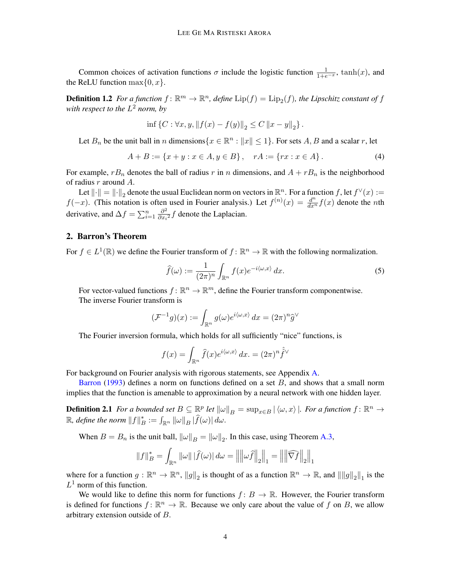Common choices of activation functions  $\sigma$  include the logistic function  $\frac{1}{1+e^{-x}}$ , tanh $(x)$ , and the ReLU function  $\max\{0, x\}.$ 

**Definition 1.2** For a function  $f: \mathbb{R}^m \to \mathbb{R}^n$ , define  $\text{Lip}(f) = \text{Lip}_2(f)$ , the Lipschitz constant of f with respect to the  $L^2$  norm, by

$$
\inf \left\{ C : \forall x, y, \| f(x) - f(y) \|_2 \le C \|x - y \|_2 \right\}.
$$

Let  $B_n$  be the unit ball in n dimensions  $\{x \in \mathbb{R}^n : ||x|| \le 1\}$ . For sets  $A, B$  and a scalar r, let

$$
A + B := \{x + y : x \in A, y \in B\}, \quad rA := \{rx : x \in A\}.
$$
 (4)

For example,  $rB_n$  denotes the ball of radius r in n dimensions, and  $A + rB_n$  is the neighborhood of radius  $r$  around  $A$ .

Let  $\|\cdot\| = \|\cdot\|_2$  denote the usual Euclidean norm on vectors in  $\mathbb{R}^n$ . For a function f, let  $f^{\vee}(x) :=$  $f(-x)$ . (This notation is often used in Fourier analysis.) Let  $f^{(n)}(x) = \frac{d^n}{dx^n} f(x)$  denote the *n*th derivative, and  $\Delta f = \sum_{i=1}^{n} \frac{\partial^2}{\partial x_i}$  $\frac{\partial^2}{\partial x_i^2} f$  denote the Laplacian.

# <span id="page-3-0"></span>2. Barron's Theorem

For  $f \in L^1(\mathbb{R})$  we define the Fourier transform of  $f: \mathbb{R}^n \to \mathbb{R}$  with the following normalization.

<span id="page-3-1"></span>
$$
\widehat{f}(\omega) := \frac{1}{(2\pi)^n} \int_{\mathbb{R}^n} f(x) e^{-i\langle \omega, x \rangle} dx.
$$
 (5)

For vector-valued functions  $f: \mathbb{R}^n \to \mathbb{R}^m$ , define the Fourier transform componentwise. The inverse Fourier transform is

$$
(\mathcal{F}^{-1}g)(x) := \int_{\mathbb{R}^n} g(\omega)e^{i\langle \omega, x \rangle} dx = (2\pi)^n \widehat{g}^{\vee}
$$

The Fourier inversion formula, which holds for all sufficiently "nice" functions, is

$$
f(x) = \int_{\mathbb{R}^n} \hat{f}(x)e^{i\langle \omega, x \rangle} dx = (2\pi)^n \hat{f}^{\vee}
$$

For background on Fourier analysis with rigorous statements, see Appendix [A.](#page-15-0)

[Barron](#page-13-0) [\(1993\)](#page-13-0) defines a norm on functions defined on a set  $B$ , and shows that a small norm implies that the function is amenable to approximation by a neural network with one hidden layer.

**Definition 2.1** For a bounded set  $B \subseteq \mathbb{R}^p$  let  $\|\omega\|_B = \sup_{x \in B} |\langle \omega, x \rangle|$ . For a function  $f : \mathbb{R}^n \to$  $\mathbb{R}$ *, define the norm*  $||f||_F^*$  $E_B^* := \int_{\mathbb{R}^n} ||\omega||_B |f(\omega)| d\omega.$ 

When  $B = B_n$  is the unit ball,  $\|\omega\|_B = \|\omega\|_2$ . In this case, using Theorem [A.3,](#page-15-1)

$$
||f||_{B}^{*} = \int_{\mathbb{R}^{n}} ||\omega|| |\widehat{f}(\omega)| d\omega = ||||\omega \widehat{f}||_{2}||_{1} = ||||\widehat{\nabla f}||_{2}||_{1}
$$

where for a function  $g: \mathbb{R}^n \to \mathbb{R}^n$ ,  $||g||_2$  is thought of as a function  $\mathbb{R}^n \to \mathbb{R}$ , and  $||||g||_2||_1$  is the  $L^1$  norm of this function.

We would like to define this norm for functions  $f: B \to \mathbb{R}$ . However, the Fourier transform is defined for functions  $f: \mathbb{R}^n \to \mathbb{R}$ . Because we only care about the value of f on B, we allow arbitrary extension outside of  $B$ .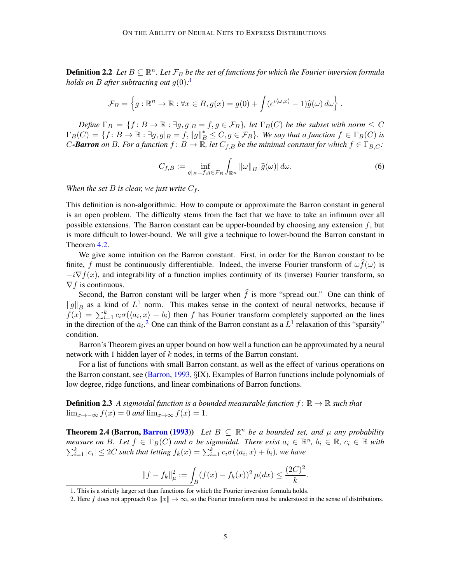**Definition 2.2** Let  $B \subseteq \mathbb{R}^n$ . Let  $\mathcal{F}_B$  be the set of functions for which the Fourier inversion formula *holds on B after subtracting out*  $g(0)$ :<sup>[1](#page-4-0)</sup>

$$
\mathcal{F}_B = \left\{ g : \mathbb{R}^n \to \mathbb{R} : \forall x \in B, g(x) = g(0) + \int (e^{i\langle \omega, x \rangle} - 1) \widehat{g}(\omega) d\omega \right\}.
$$

*Define*  $\Gamma_B = \{f : B \to \mathbb{R} : \exists g, g|_B = f, g \in \mathcal{F}_B\}$ , let  $\Gamma_B(C)$  be the subset with norm  $\leq C$  $\Gamma_B(C) = \{f: B \to \mathbb{R}: \exists g, g|_B = f, \|g\|_B^* \leq C, g \in \mathcal{F}_B\}.$  We say that a function  $f \in \Gamma_B(C)$  is *C*-Barron on *B*. For a function  $f: B \to \mathbb{R}$ , let  $C_{f,B}$  be the minimal constant for which  $f \in \Gamma_{B,C}$ :

$$
C_{f,B} := \inf_{g|_{B} = f,g \in \mathcal{F}_{B}} \int_{\mathbb{R}^{n}} ||\omega||_{B} |\widehat{g}(\omega)| d\omega.
$$
 (6)

*When the set*  $B$  *is clear, we just write*  $C_f$ *.* 

This definition is non-algorithmic. How to compute or approximate the Barron constant in general is an open problem. The difficulty stems from the fact that we have to take an infimum over all possible extensions. The Barron constant can be upper-bounded by choosing any extension  $f$ , but is more difficult to lower-bound. We will give a technique to lower-bound the Barron constant in Theorem [4.2.](#page-11-0)

We give some intuition on the Barron constant. First, in order for the Barron constant to be finite, f must be continuously differentiable. Indeed, the inverse Fourier transform of  $\omega f(\omega)$  is  $-i\nabla f(x)$ , and integrability of a function implies continuity of its (inverse) Fourier transform, so  $\nabla f$  is continuous.

Second, the Barron constant will be larger when  $\hat{f}$  is more "spread out." One can think of  $||g||_B$  as a kind of  $L^1$  norm. This makes sense in the context of neural networks, because if  $f(x) = \sum_{i=1}^{k} c_i \sigma(\langle a_i, x \rangle + b_i)$  then f has Fourier transform completely supported on the lines in the direction of the  $a_i$ .<sup>[2](#page-4-1)</sup> One can think of the Barron constant as a  $L^1$  relaxation of this "sparsity" condition.

Barron's Theorem gives an upper bound on how well a function can be approximated by a neural network with 1 hidden layer of  $k$  nodes, in terms of the Barron constant.

For a list of functions with small Barron constant, as well as the effect of various operations on the Barron constant, see [\(Barron,](#page-13-0) [1993,](#page-13-0) SIX). Examples of Barron functions include polynomials of low degree, ridge functions, and linear combinations of Barron functions.

**Definition 2.3** A sigmoidal function is a bounded measurable function  $f: \mathbb{R} \to \mathbb{R}$  such that  $\lim_{x\to-\infty} f(x) = 0$  *and*  $\lim_{x\to\infty} f(x) = 1$ .

<span id="page-4-2"></span>**Theorem 2.4 ([Barron](#page-13-0), Barron [\(1993\)](#page-13-0))** Let  $B \subseteq \mathbb{R}^n$  be a bounded set, and  $\mu$  any probability *measure on B. Let*  $f \in \Gamma_B(C)$  *and*  $\sigma$  *be sigmoidal. There exist*  $a_i \in \mathbb{R}^n$ ,  $b_i \in \mathbb{R}$ ,  $c_i \in \mathbb{R}$  with  $\sum_{i=1}^{k} |c_i| \leq 2C$  such that letting  $f_k(x) = \sum_{i=1}^{k} c_i \sigma(\langle a_i, x \rangle + b_i)$ , we have

$$
||f - f_k||_{\mu}^2 := \int_B (f(x) - f_k(x))^2 \, \mu(dx) \le \frac{(2C)^2}{k}.
$$

<span id="page-4-0"></span><sup>1.</sup> This is a strictly larger set than functions for which the Fourier inversion formula holds.

<span id="page-4-1"></span><sup>2.</sup> Here f does not approach 0 as  $||x|| \to \infty$ , so the Fourier transform must be understood in the sense of distributions.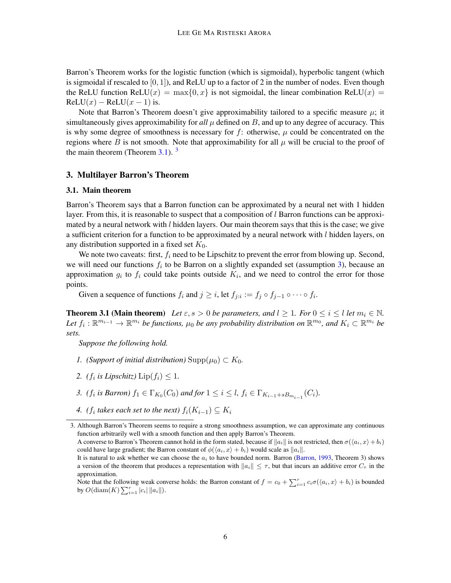Barron's Theorem works for the logistic function (which is sigmoidal), hyperbolic tangent (which is sigmoidal if rescaled to  $[0, 1]$ ), and ReLU up to a factor of 2 in the number of nodes. Even though the ReLU function ReLU(x) = max $\{0, x\}$  is not sigmoidal, the linear combination ReLU(x) =  $ReLU(x) - ReLU(x - 1)$  is.

Note that Barron's Theorem doesn't give approximability tailored to a specific measure  $\mu$ ; it simultaneously gives approximability for *all*  $\mu$  defined on  $B$ , and up to any degree of accuracy. This is why some degree of smoothness is necessary for  $f$ : otherwise,  $\mu$  could be concentrated on the regions where B is not smooth. Note that approximability for all  $\mu$  will be crucial to the proof of the main theorem (Theorem  $3.1$  $3.1$ ).  $3$ 

### <span id="page-5-1"></span>3. Multilayer Barron's Theorem

### 3.1. Main theorem

Barron's Theorem says that a Barron function can be approximated by a neural net with 1 hidden layer. From this, it is reasonable to suspect that a composition of  $l$  Barron functions can be approximated by a neural network with  $l$  hidden layers. Our main theorem says that this is the case; we give a sufficient criterion for a function to be approximated by a neural network with  $l$  hidden layers, on any distribution supported in a fixed set  $K_0$ .

We note two caveats: first,  $f_i$  need to be Lipschitz to prevent the error from blowing up. Second, we will need our functions  $f_i$  to be Barron on a slightly expanded set (assumption [3\)](#page-5-3), because an approximation  $g_i$  to  $f_i$  could take points outside  $K_i$ , and we need to control the error for those points.

Given a sequence of functions  $f_i$  and  $j \geq i$ , let  $f_{j:i} := f_j \circ f_{j-1} \circ \cdots \circ f_i$ .

<span id="page-5-0"></span>**Theorem 3.1 (Main theorem)** Let  $\varepsilon$ ,  $s > 0$  be parameters, and  $l \ge 1$ . For  $0 \le i \le l$  let  $m_i \in \mathbb{N}$ . Let  $f_i: \mathbb{R}^{m_{i-1}} \to \mathbb{R}^{m_i}$  be functions,  $\mu_0$  be any probability distribution on  $\mathbb{R}^{m_0}$ , and  $K_i \subset \mathbb{R}^{m_i}$  be *sets.*

*Suppose the following hold.*

- <span id="page-5-4"></span>*1. (Support of initial distribution)* Supp $(\mu_0) \subset K_0$ .
- <span id="page-5-5"></span>2. *(f<sub>i</sub>* is Lipschitz)  $\text{Lip}(f_i) \leq 1$ .
- <span id="page-5-3"></span>*3. (f<sub>i</sub>* is Barron)  $f_1 \in \Gamma_{K_0}(C_0)$  and for  $1 \leq i \leq l$ ,  $f_i \in \Gamma_{K_{i-1}+sB_{m_{i-1}}}(C_i)$ .
- <span id="page-5-6"></span>4.  $(f_i$  takes each set to the next)  $f_i(K_{i-1}) \subseteq K_i$

<span id="page-5-2"></span><sup>3.</sup> Although Barron's Theorem seems to require a strong smoothness assumption, we can approximate any continuous function arbitrarily well with a smooth function and then apply Barron's Theorem.

A converse to Barron's Theorem cannot hold in the form stated, because if  $||a_i||$  is not restricted, then  $\sigma(\langle a_i, x \rangle + b_i)$ could have large gradient; the Barron constant of  $\phi(\langle a_i, x \rangle + b_i)$  would scale as  $||a_i||$ .

It is natural to ask whether we can choose the  $a_i$  to have bounded norm. Barron [\(Barron,](#page-13-0) [1993,](#page-13-0) Theorem 3) shows a version of the theorem that produces a representation with  $||a_i|| \leq \tau$ , but that incurs an additive error  $C_{\tau}$  in the approximation.

Note that the following weak converse holds: the Barron constant of  $f = c_0 + \sum_{i=1}^r c_i \sigma(\langle a_i, x \rangle + b_i)$  is bounded by  $O(\text{diam}(K) \sum_{i=1}^{r} |c_i| ||a_i||).$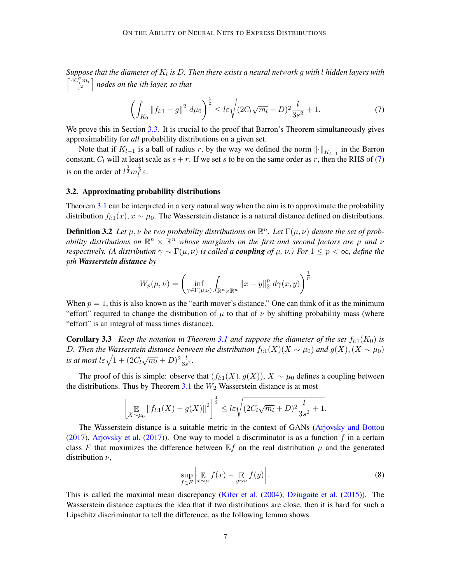Suppose that the diameter of  $K_l$  is  $D$ . Then there exists a neural network  $g$  with  $l$  hidden layers with  $\left\lceil \frac{4C_i^2m_i}{\varepsilon^2} \right\rceil$  nodes on the *ith layer, so that* 

<span id="page-6-1"></span>
$$
\left(\int_{K_0} \|f_{l:1} - g\|^2 \ d\mu_0\right)^{\frac{1}{2}} \le l\varepsilon \sqrt{(2C_l\sqrt{m_l} + D)^2 \frac{l}{3s^2} + 1}.\tag{7}
$$

We prove this in Section [3.3.](#page-7-0) It is crucial to the proof that Barron's Theorem simultaneously gives approximability for *all* probability distributions on a given set.

Note that if  $K_{l-1}$  is a ball of radius r, by the way we defined the norm  $\lVert \cdot \rVert_{K_{l-1}}$  in the Barron constant,  $C_l$  will at least scale as  $s + r$ . If we set s to be on the same order as r, then the RHS of [\(7\)](#page-6-1) is on the order of  $l^{\frac{3}{2}}m_l^{\frac{1}{2}}\varepsilon$ .

#### 3.2. Approximating probability distributions

Theorem [3.1](#page-5-0) can be interpreted in a very natural way when the aim is to approximate the probability distribution  $f_{l,1}(x), x \sim \mu_0$ . The Wasserstein distance is a natural distance defined on distributions.

**Definition 3.2** Let  $\mu, \nu$  be two probability distributions on  $\mathbb{R}^n$ . Let  $\Gamma(\mu, \nu)$  denote the set of probability distributions on  $\mathbb{R}^n \times \mathbb{R}^n$  whose marginals on the first and second factors are  $\mu$  and  $\nu$ *respectively.* (A distribution  $\gamma \sim \Gamma(\mu, \nu)$  is called a *coupling* of  $\mu$ ,  $\nu$ .) For  $1 \leq p \leq \infty$ , define the *th Wasserstein distance by*

$$
W_p(\mu, \nu) = \left(\inf_{\gamma \in \Gamma(\mu, \nu)} \int_{\mathbb{R}^n \times \mathbb{R}^n} ||x - y||_2^p d\gamma(x, y)\right)^{\frac{1}{p}}
$$

When  $p = 1$ , this is also known as the "earth mover's distance." One can think of it as the minimum "effort" required to change the distribution of  $\mu$  to that of  $\nu$  by shifting probability mass (where "effort" is an integral of mass times distance).

<span id="page-6-0"></span>**Corollary 3.3** *Keep the notation in Theorem [3.1](#page-5-0) and suppose the diameter of the set*  $f_{1,1}(K_0)$  *is D. Then the Wasserstein distance between the distribution*  $f_{l:1}(X)(X \sim \mu_0)$  *and*  $g(X), (X \sim \mu_0)$ *is at most*  $l \in \sqrt{1 + (2C_l\sqrt{m_l} + D)^2\frac{l}{3s^2}}$ .

The proof of this is simple: observe that  $(f_{l:1}(X), g(X))$ ,  $X \sim \mu_0$  defines a coupling between the distributions. Thus by Theorem  $3.1$  the  $W_2$  Wasserstein distance is at most

$$
\left[\mathop{\mathbb{E}}_{X \sim \mu_0} \|f_{l:1}(X) - g(X)\|^2\right]^{\frac{1}{2}} \leq l\varepsilon \sqrt{(2C_l\sqrt{m_l} + D)^2 \frac{l}{3s^2} + 1}.
$$

The Wasserstein distance is a suitable metric in the context of GANs [\(Arjovsky and Bottou](#page-13-12) [\(2017\)](#page-13-13), [Arjovsky et al.](#page-13-13) (2017)). One way to model a discriminator is as a function  $f$  in a certain class F that maximizes the difference between  $E f$  on the real distribution  $\mu$  and the generated distribution  $\nu$ ,

<span id="page-6-3"></span>
$$
\sup_{f \in F} \left| \mathop{\mathbb{E}}_{x \sim \mu} f(x) - \mathop{\mathbb{E}}_{y \sim \nu} f(y) \right|.
$$
 (8)

<span id="page-6-2"></span>This is called the maximal mean discrepancy [\(Kifer et al.](#page-14-5) [\(2004\)](#page-14-5), [Dziugaite et al.](#page-13-14) [\(2015\)](#page-13-14)). The Wasserstein distance captures the idea that if two distributions are close, then it is hard for such a Lipschitz discriminator to tell the difference, as the following lemma shows.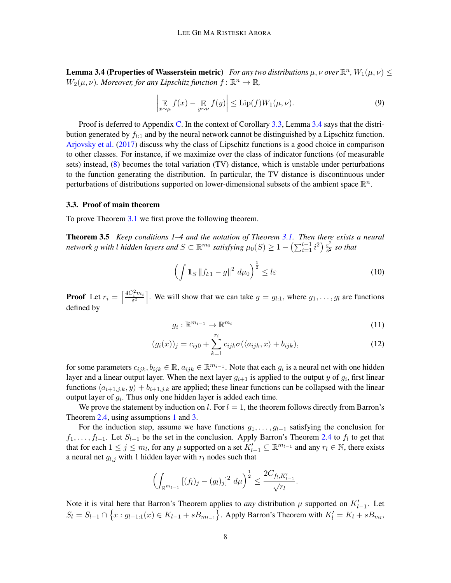**Lemma 3.4 (Properties of Wasserstein metric)** For any two distributions  $\mu$ ,  $\nu$  over  $\mathbb{R}^n$ ,  $W_1(\mu, \nu) \leq$  $W_2(\mu, \nu)$ . Moreover, for any Lipschitz function  $f \colon \mathbb{R}^n \to \mathbb{R}$ ,

$$
\left| \underset{x \sim \mu}{\mathbb{E}} f(x) - \underset{y \sim \nu}{\mathbb{E}} f(y) \right| \le \text{Lip}(f) W_1(\mu, \nu). \tag{9}
$$

Proof is deferred to Appendix [C.](#page-17-0) In the context of Corollary [3.3,](#page-6-0) Lemma [3.4](#page-6-2) says that the distribution generated by  $f_{l,1}$  and by the neural network cannot be distinguished by a Lipschitz function. [Arjovsky et al.](#page-13-13) [\(2017\)](#page-13-13) discuss why the class of Lipschitz functions is a good choice in comparison to other classes. For instance, if we maximize over the class of indicator functions (of measurable sets) instead, [\(8\)](#page-6-3) becomes the total variation (TV) distance, which is unstable under perturbations to the function generating the distribution. In particular, the TV distance is discontinuous under perturbations of distributions supported on lower-dimensional subsets of the ambient space  $\mathbb{R}^n$ .

#### <span id="page-7-0"></span>3.3. Proof of main theorem

<span id="page-7-1"></span>To prove Theorem [3.1](#page-5-0) we first prove the following theorem.

Theorem 3.5 *Keep conditions 1–4 and the notation of Theorem [3.1.](#page-5-0) Then there exists a neural network*  $g$  *with*  $l$  *hidden layers and*  $S \subset \mathbb{R}^{m_0}$  *satisfying*  $\mu_0(S) \geq 1 - \left(\sum_{i=1}^{l-1} i^2\right) \frac{\varepsilon^2}{s^2}$  $rac{\varepsilon^2}{s^2}$  *so that* 

$$
\left(\int \mathbb{1}_S \left\|f_{l:1} - g\right\|^2 \, d\mu_0\right)^{\frac{1}{2}} \le l\varepsilon \tag{10}
$$

**Proof** Let  $r_i = \left[\frac{4C_i^2m_i}{\varepsilon^2}\right]$ . We will show that we can take  $g = g_{i,1}$ , where  $g_1, \ldots, g_l$  are functions defined by

$$
g_i: \mathbb{R}^{m_{i-1}} \to \mathbb{R}^{m_i} \tag{11}
$$

$$
(g_i(x))_j = c_{ij0} + \sum_{k=1}^{r_i} c_{ijk} \sigma(\langle a_{ijk}, x \rangle + b_{ijk}), \qquad (12)
$$

for some parameters  $c_{ijk}, b_{ijk} \in \mathbb{R}$ ,  $a_{ijk} \in \mathbb{R}^{m_{i-1}}$ . Note that each  $g_i$  is a neural net with one hidden layer and a linear output layer. When the next layer  $g_{i+1}$  is applied to the output  $y$  of  $g_i$ , first linear functions  $\langle a_{i+1,j,k}, y \rangle + b_{i+1,j,k}$  are applied; these linear functions can be collapsed with the linear output layer of  $g_i$ . Thus only one hidden layer is added each time.

We prove the statement by induction on  $l$ . For  $l = 1$ , the theorem follows directly from Barron's Theorem [2.4,](#page-4-2) using assumptions [1](#page-5-4) and [3.](#page-5-3)

For the induction step, assume we have functions  $g_1, \ldots, g_{l-1}$  satisfying the conclusion for  $f_1, \ldots, f_{l-1}$ . Let  $S_{l-1}$  be the set in the conclusion. Apply Barron's Theorem [2.4](#page-4-2) to  $f_l$  to get that that for each  $1 \le j \le m_l$ , for any  $\mu$  supported on a set  $K'_{l-1} \subseteq \mathbb{R}^{m_{l-1}}$  and any  $r_l \in \mathbb{N}$ , there exists a neural net  $q_{l,j}$  with 1 hidden layer with  $r_l$  nodes such that

$$
\left(\int_{\mathbb{R}^{m_{l-1}}} [(f_l)_j - (g_l)_j]^2 \ d\mu\right)^{\frac{1}{2}} \leq \frac{2C_{f_l, K'_{l-1}}}{\sqrt{r_l}}.
$$

Note it is vital here that Barron's Theorem applies to *any* distribution  $\mu$  supported on  $K'_{l-1}$ . Let  $S_l = S_{l-1} \cap \{x : g_{l-1:1}(x) \in K_{l-1} + sB_{m_{l-1}}\}$ . Apply Barron's Theorem with  $K'_l = K_l + sB_{m_l}$ ,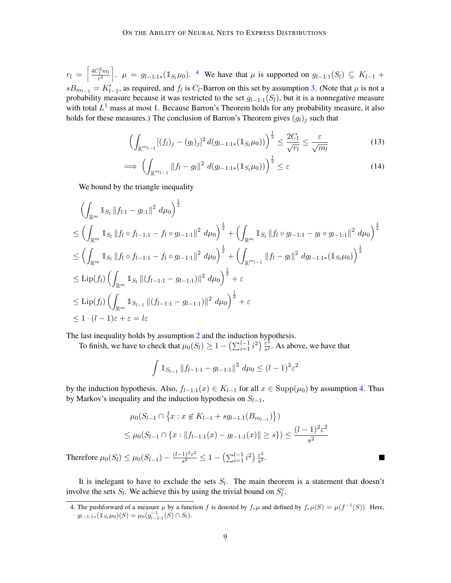$r_l = \left[\frac{4C_l^2m_l}{\varepsilon^2}\right]$  $r_l = \left[\frac{4C_l^2m_l}{\varepsilon^2}\right]$  $r_l = \left[\frac{4C_l^2m_l}{\varepsilon^2}\right]$ .  $\mu = g_{l-1:1*}(\mathbb{1}_{S_l}\mu_0)$ . <sup>4</sup> We have that  $\mu$  is supported on  $g_{l-1:1}(S_l) \subseteq K_{l-1}$  +  $sB_{m_{l-1}} = K'_{l-1}$ , as required, and  $f_l$  is  $C_l$ -Barron on this set by assumption [3.](#page-5-3) (Note that  $\mu$  is not a probability measure because it was restricted to the set  $g_{l-1:1}(S_l)$ , but it is a nonnegative measure with total  $L^1$  mass at most 1. Because Barron's Theorem holds for any probability measure, it also holds for these measures.) The conclusion of Barron's Theorem gives  $(g_l)_j$  such that

$$
\left(\int_{\mathbb{R}^{m_{l-1}}} [(f_l)_j - (g_l)_j]^2 d(g_{l-1:1*}(\mathbb{1}_{S_l} \mu_0))\right)^{\frac{1}{2}} \leq \frac{2C_l}{\sqrt{r_l}} \leq \frac{\varepsilon}{\sqrt{m_l}}
$$
(13)

$$
\implies \left(\int_{\mathbb{R}^{m_{l-1}}} \|f_l - g_l\|^2 \ d(g_{l-1:1*}(1_{S_l}\mu_0))\right)^{\frac{1}{2}} \leq \varepsilon \tag{14}
$$

We bound by the triangle inequality

$$
\left(\int_{\mathbb{R}^m} \mathbb{1}_{S_l} \|f_{l:1} - g_{l:1}\|^2 \, d\mu_0\right)^{\frac{1}{2}}
$$
\n
$$
\leq \left(\int_{\mathbb{R}^m} \mathbb{1}_{S_l} \|f_l \circ f_{l-1:1} - f_l \circ g_{l-1:1}\|^2 \, d\mu_0\right)^{\frac{1}{2}} + \left(\int_{\mathbb{R}^m} \mathbb{1}_{S_l} \|f_l \circ g_{l-1:1} - g_l \circ g_{l-1:1}\|^2 \, d\mu_0\right)^{\frac{1}{2}}
$$
\n
$$
\leq \left(\int_{\mathbb{R}^m} \mathbb{1}_{S_l} \|f_l \circ f_{l-1:1} - f_l \circ g_{l-1:1}\|^2 \, d\mu_0\right)^{\frac{1}{2}} + \left(\int_{\mathbb{R}^m_{l-1}} \|f_l - g_l\|^2 \, dg_{l-1:1*}(\mathbb{1}_{S_l}\mu_0)\right)^{\frac{1}{2}}
$$
\n
$$
\leq \text{Lip}(f_l) \left(\int_{\mathbb{R}^m} \mathbb{1}_{S_l} \| (f_{l-1:1} - g_{l-1:1}) \|^2 \, d\mu_0\right)^{\frac{1}{2}} + \varepsilon
$$
\n
$$
\leq \text{Lip}(f_l) \left(\int_{\mathbb{R}^m} \mathbb{1}_{S_{l-1}} \| (f_{l-1:1} - g_{l-1:1}) \|^2 \, d\mu_0\right)^{\frac{1}{2}} + \varepsilon
$$
\n
$$
\leq 1 \cdot (l-1)\varepsilon + \varepsilon = l\varepsilon
$$

The last inequality holds by assumption [2](#page-5-5) and the induction hypothesis.

To finish, we have to check that  $\mu_0(S_l) \geq 1 - \left(\sum_{i=1}^{l-1} i^2\right) \frac{\varepsilon^2}{s^2}$  $\frac{\varepsilon^2}{s^2}$ . As above, we have that

$$
\int 1\!\!1_{S_{l-1}}\|f_{l-1:1}-g_{l-1:1}\|^2\,d\mu_0 \leq (l-1)^2\varepsilon^2
$$

by the induction hypothesis. Also,  $f_{l-1:1}(x) \in K_{l-1}$  for all  $x \in \text{Supp}(\mu_0)$  by assumption [4.](#page-5-6) Thus by Markov's inequality and the induction hypothesis on  $S_{l-1}$ ,

$$
\mu_0(S_{l-1} \cap \left\{x : x \notin K_{l-1} + sg_{l-1:1}(B_{m_{l-1}})\right\})
$$
  

$$
\leq \mu_0(S_{l-1} \cap \left\{x : ||f_{l-1:1}(x) - g_{l-1:1}(x)|| \geq s\right\}) \leq \frac{(l-1)^2 \varepsilon^2}{s^2}
$$

**Tale** 

Therefore  $\mu_0(S_l) \leq \mu_0(S_{l-1}) - \frac{(l-1)^2 \varepsilon^2}{s^2}$  $\frac{1)^2 \varepsilon^2}{s^2} \leq 1 - \left( \sum_{i=1}^{l-1} i^2 \right) \frac{\varepsilon^2}{s^2}$  $\frac{\varepsilon^2}{s^2}$ .

It is inelegant to have to exclude the sets  $S_l$ . The main theorem is a statement that doesn't involve the sets  $S_l$ . We achieve this by using the trivial bound on  $S_l^c$ .

<span id="page-8-0"></span><sup>4.</sup> The pushforward of a measure  $\mu$  by a function f is denoted by  $f_*\mu$  and defined by  $f_*\mu(S) = \mu(f^{-1}(S))$ . Here,  $g_{l-1:1*}(\mathbb{1}_{S_l}\mu_0)(S) = \mu_0(g_{l-1:1}^{-1}(S) \cap S_l).$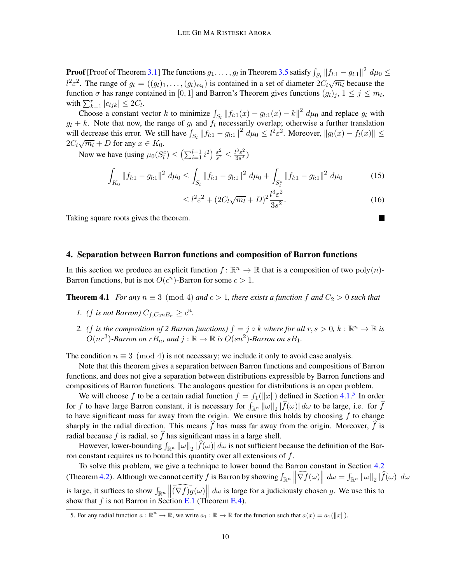**Proof** [Proof of Theorem [3.1\]](#page-5-0) The functions  $g_1,\ldots,g_l$  in Theorem [3.5](#page-7-1) satisfy  $\int_{S_l} \|f_{l:1}-g_{l:1}\|^2\ d\mu_0 \leq$  $l^2\varepsilon^2$ . The range of  $g_l = ((g_l)_1, \ldots, (g_l)_{m_l})$  is contained in a set of diameter  $2C_l\sqrt{m_l}$  because the function  $\sigma$  has range contained in [0, 1] and Barron's Theorem gives functions  $(g_l)_j$ ,  $1 \leq j \leq m_l$ , with  $\sum_{k=1}^r |c_{ljk}| \leq 2C_l$ .

Choose a constant vector k to minimize  $\int_{S_1} ||f_{l,1}(x) - g_{l,1}(x) - k||^2 d\mu_0$  and replace  $g_l$  with  $g_l + k$ . Note that now, the range of  $g_l$  and  $f_l$  necessarily overlap; otherwise a further translation  $g_l + k$ . will decrease this error. We still have  $\int_{S_l} ||f_{l,1} - g_{l,1}||^2 d\mu_0 \le l^2 \varepsilon^2$ . Moreover,  $||g_l(x) - f_l(x)|| \le$ with decrease this critically  $2C_l\sqrt{m_l} + D$  for any  $x \in K_0$ .

Now we have (using  $\mu_0(S_l^c) \leq \left(\sum_{i=1}^{l-1} i^2\right) \frac{\varepsilon^2}{s^2}$  $\frac{\varepsilon^2}{s^2} \leq \frac{l^3 \varepsilon^2}{3s^2}$  $\frac{\sqrt{5}}{3s^2}$ 

$$
\int_{K_0} \|f_{l:1} - g_{l:1}\|^2 \ d\mu_0 \le \int_{S_l} \|f_{l:1} - g_{l:1}\|^2 \ d\mu_0 + \int_{S_l^c} \|f_{l:1} - g_{l:1}\|^2 \ d\mu_0 \tag{15}
$$

$$
\leq l^2 \varepsilon^2 + (2C_l \sqrt{m_l} + D)^2 \frac{l^3 \varepsilon^2}{3s^2}.
$$
\n(16)

Taking square roots gives the theorem.

## <span id="page-9-1"></span>4. Separation between Barron functions and composition of Barron functions

In this section we produce an explicit function  $f: \mathbb{R}^n \to \mathbb{R}$  that is a composition of two  $poly(n)$ -Barron functions, but is not  $O(c^n)$ -Barron for some  $c > 1$ .

<span id="page-9-0"></span>**Theorem 4.1** *For any*  $n \equiv 3 \pmod{4}$  *and*  $c > 1$ *, there exists a function*  $f$  *and*  $C_2 > 0$  *such that* 

- *1. (f is not Barron)*  $C_{f,C_2nB_n} \geq c^n$ .
- 2. *(f is the composition of 2 Barron functions)*  $f = j \circ k$  where for all  $r, s > 0$ ,  $k : \mathbb{R}^n \to \mathbb{R}$  is  $O(nr^3)$ -Barron on  $rB_n$ , and  $j : \mathbb{R} \to \mathbb{R}$  is  $O(sn^2)$ -Barron on  $sB_1$ .

The condition  $n \equiv 3 \pmod{4}$  is not necessary; we include it only to avoid case analysis.

Note that this theorem gives a separation between Barron functions and compositions of Barron functions, and does not give a separation between distributions expressible by Barron functions and compositions of Barron functions. The analogous question for distributions is an open problem.

We will choose f to be a certain radial function  $f = f_1(||x||)$  defined in Section [4.1.](#page-10-0)<sup>[5](#page-9-2)</sup> In order for f to have large Barron constant, it is necessary for  $\int_{\mathbb{R}^n} ||\omega||_2 |f(\omega)| d\omega$  to be large, i.e. for f to have significant mass far away from the origin. We ensure this holds by choosing  $f$  to change sharply in the radial direction. This means f has mass far away from the origin. Moreover, f is radial because  $f$  is radial, so  $\hat{f}$  has significant mass in a large shell.

However, lower-bounding  $\int_{\mathbb{R}^n} ||\omega||_2 |f(\omega)| d\omega$  is not sufficient because the definition of the Barron constant requires us to bound this quantity over all extensions of  $f$ .

To solve this problem, we give a technique to lower bound the Barron constant in Section [4.2](#page-11-1) (Theorem [4.2\)](#page-11-0). Although we cannot certify f is Barron by showing  $\int_{\mathbb{R}^n} \left\| \widehat{\nabla f}(\omega) \right\| d\omega = \int_{\mathbb{R}^n} \|\omega\|_2 |\widehat{f}(\omega)| d\omega$ is large, it suffices to show  $\int_{\mathbb{R}^n} \left\| \widehat{(\nabla f)} g(\omega) \right\| d\omega$  is large for a judiciously chosen g. We use this to show that  $f$  is not Barron in Section [E.1](#page-20-0) (Theorem [E.4\)](#page-22-0).

<span id="page-9-2"></span><sup>5.</sup> For any radial function  $a : \mathbb{R}^n \to \mathbb{R}$ , we write  $a_1 : \mathbb{R} \to \mathbb{R}$  for the function such that  $a(x) = a_1(||x||)$ .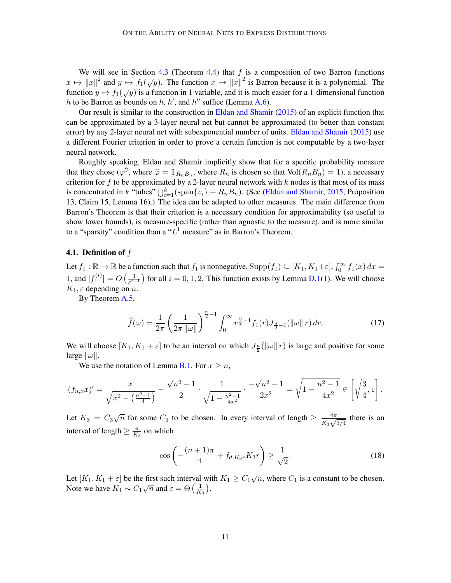We will see in Section [4.3](#page-11-2) (Theorem [4.4\)](#page-11-3) that  $f$  is a composition of two Barron functions we will see in Section 4.5 (Theorem 4.4) that f is a composition of two Barron functions  $x \mapsto ||x||^2$  and  $y \mapsto f_1(\sqrt{y})$ . The function  $x \mapsto ||x||^2$  is Barron because it is a polynomial. The  $x \mapsto \lim_{\|x\|}$  and  $y \mapsto f_1(\sqrt{y})$ . The function  $x \mapsto \lim_{\|x\|}$  is barron occalise it is a polynomial. The function  $y \mapsto f_1(\sqrt{y})$  is a function in 1 variable, and it is much easier for a 1-dimensional function h to be Barron as bounds on  $h$ ,  $h'$ , and  $h''$  suffice (Lemma [A.6\)](#page-15-2).

Our result is similar to the construction in [Eldan and Shamir](#page-13-3) [\(2015\)](#page-13-3) of an explicit function that can be approximated by a 3-layer neural net but cannot be approximated (to better than constant error) by any 2-layer neural net with subexponential number of units. [Eldan and Shamir](#page-13-3) [\(2015\)](#page-13-3) use a different Fourier criterion in order to prove a certain function is not computable by a two-layer neural network.

Roughly speaking, Eldan and Shamir implicitly show that for a specific probability measure that they chose  $(\varphi^2$ , where  $\hat{\varphi} = \mathbb{1}_{R_n, B_n}$ , where  $R_n$  is chosen so that  $Vol(R_n, B_n) = 1$ ), a necessary criterion for  $f$  to be approximated by a 2-layer neural network with  $k$  nodes is that most of its mass is concentrated in k "tubes"  $\bigcup_{i=1}^{k} (\text{span}\{v_i\} + R_n B_n)$ . (See [\(Eldan and Shamir,](#page-13-3) [2015,](#page-13-3) Proposition 13, Claim 15, Lemma 16).) The idea can be adapted to other measures. The main difference from Barron's Theorem is that their criterion is a necessary condition for approximability (so useful to show lower bounds), is measure-specific (rather than agnostic to the measure), and is more similar to a "sparsity" condition than a " $L^1$  measure" as in Barron's Theorem.

#### <span id="page-10-0"></span>**4.1. Definition of**  $f$

Let  $f_1 : \mathbb{R} \to \mathbb{R}$  be a function such that  $f_1$  is nonnegative,  $\text{Supp}(f_1) \subseteq [K_1, K_1 + \varepsilon], \int_0^\infty f_1(x) dx =$ 1, and  $|f_1^{(i)}|$  $\left| \frac{\lambda^{(i)}}{1} \right| = O\left( \frac{1}{\varepsilon^{i+1}} \right)$  $\frac{1}{\epsilon^{i+1}}$  for all  $i = 0, 1, 2$ . This function exists by Lemma [D.1\(](#page-18-0)1). We will choose  $K_1$ ,  $\varepsilon$  depending on n.

By Theorem [A.5,](#page-15-3)

<span id="page-10-1"></span>
$$
\widehat{f}(\omega) = \frac{1}{2\pi} \left( \frac{1}{2\pi \|\omega\|} \right)^{\frac{n}{2}-1} \int_0^\infty r^{\frac{n}{2}-1} f_1(r) J_{\frac{n}{2}-1}(\|\omega\| \, r) \, dr. \tag{17}
$$

We will choose  $[K_1, K_1 + \varepsilon]$  to be an interval on which  $J_{\frac{n}{2}}(\|\omega\| r)$  is large and positive for some large  $\|\omega\|$ .

We use the notation of Lemma [B.1.](#page-16-0) For  $x \ge n$ ,

$$
(f_{n,x}x)' = \frac{x}{\sqrt{x^2 - \left(\frac{n^2-1}{4}\right)}} - \frac{\sqrt{n^2-1}}{2} \cdot \frac{1}{\sqrt{1 - \frac{n^2-1}{4x^2}}} \cdot \frac{-\sqrt{n^2-1}}{2x^2} = \sqrt{1 - \frac{n^2-1}{4x^2}} \in \left[\sqrt{\frac{3}{4}}, 1\right].
$$

Let  $K_3 = C_3\sqrt{n}$  for some  $C_3$  to be chosen. In every interval of length  $\geq \frac{4\pi}{K}$  $rac{4\pi}{K_3\sqrt{3/4}}$  there is an interval of length  $\geq \frac{\pi}{K}$  $\frac{\pi}{K_3}$  on which

<span id="page-10-2"></span>
$$
\cos\left(-\frac{(n+1)\pi}{4} + f_{d,K_3r}K_3r\right) \ge \frac{1}{\sqrt{2}}.\tag{18}
$$

Let  $[K_1, K_1 + \varepsilon]$  be the first such interval with  $K_1 \ge C_1 \sqrt{n}$ , where  $C_1$  is a constant to be chosen. Note we have  $K_1 \sim C_1 \sqrt{n}$  and  $\varepsilon = \Theta\left(\frac{1}{K}\right)$  $\frac{1}{K_3}$ .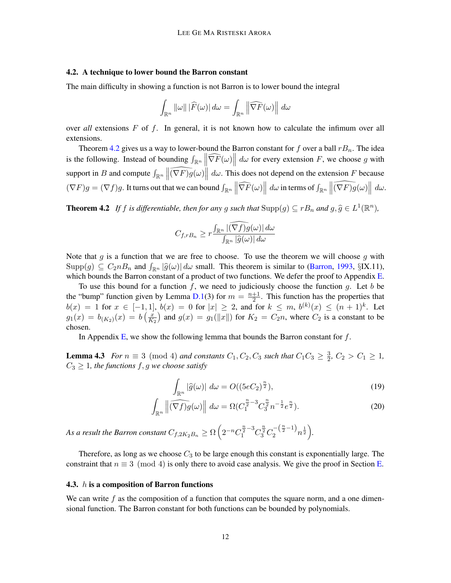#### <span id="page-11-1"></span>4.2. A technique to lower bound the Barron constant

The main difficulty in showing a function is not Barron is to lower bound the integral

$$
\int_{\mathbb{R}^n} ||\omega|| \, |\widehat{F}(\omega)| \, d\omega = \int_{\mathbb{R}^n} \left\| \widehat{\nabla F}(\omega) \right\| \, d\omega
$$

over *all* extensions  $F$  of  $f$ . In general, it is not known how to calculate the infimum over all extensions.

Theorem [4.2](#page-11-0) gives us a way to lower-bound the Barron constant for f over a ball  $rB_n$ . The idea is the following. Instead of bounding  $\int_{\mathbb{R}^n} \left\| \widehat{\nabla F}(\omega) \right\| d\omega$  for every extension F, we choose g with support in B and compute  $\int_{\mathbb{R}^n} \left\| \widehat{(\nabla F)g}(\omega) \right\| d\omega$ . This does not depend on the extension F because  $(\nabla F)g = (\nabla f)g$ . It turns out that we can bound  $\int_{\mathbb{R}^n} \left\| \widehat{\nabla F}(\omega) \right\| d\omega$  in terms of  $\int_{\mathbb{R}^n} \left\| \widehat{(\nabla F)g}(\omega) \right\| d\omega$ .

<span id="page-11-0"></span>**Theorem 4.2** If f is differentiable, then for any g such that  $\text{Supp}(g) \subseteq rB_n$  and  $g, \hat{g} \in L^1(\mathbb{R}^n)$ ,

$$
C_{f,rB_n} \ge r \frac{\int_{\mathbb{R}^n} |(\nabla f)g(\omega)| d\omega}{\int_{\mathbb{R}^n} |\widehat{g}(\omega)| d\omega}
$$

Note that  $g$  is a function that we are free to choose. To use the theorem we will choose  $g$  with  $\text{Supp}(g) \subseteq C_2 n B_n$  and  $\int_{\mathbb{R}^n} |\widehat{g}(\omega)| d\omega$  small. This theorem is similar to [\(Barron,](#page-13-0) [1993,](#page-13-0) §IX.11), which bounds the Barron constant of a product of two functions. We defer the proof to Appendix [E.](#page-19-0)

To use this bound for a function f, we need to judiciously choose the function q. Let  $b$  be the "bump" function given by Lemma [D.1\(](#page-18-0)3) for  $m = \frac{n+1}{2}$  $\frac{+1}{2}$ . This function has the properties that  $b(x) = 1$  for  $x \in [-1,1], b(x) = 0$  for  $|x| \ge 2$ , and for  $k \le m$ ,  $b^{(k)}(x) \le (n+1)^k$ . Let  $g_1(x) = b_{(K_2)}(x) = b\left(\frac{x}{K_1}\right)$  $\left(\frac{x}{K_2}\right)$  and  $g(x) = g_1(\|x\|)$  for  $K_2 = C_2 n$ , where  $C_2$  is a constant to be chosen.

In Appendix [E,](#page-19-0) we show the following lemma that bounds the Barron constant for  $f$ .

<span id="page-11-4"></span>**Lemma 4.3** *For*  $n \equiv 3 \pmod{4}$  *and constants*  $C_1, C_2, C_3$  *such that*  $C_1C_3 \geq \frac{3}{2}$  $\frac{3}{2}$ ,  $C_2 > C_1 \geq 1$ ,  $C_3 \geq 1$ , the functions f, g we choose satisfy

$$
\int_{\mathbb{R}^n} |\widehat{g}(\omega)| \, d\omega = O((5eC_2)^{\frac{n}{2}}),\tag{19}
$$

$$
\int_{\mathbb{R}^n} \left\| \widehat{(\nabla f)g}(\omega) \right\| d\omega = \Omega(C_1^{\frac{n}{2}-3} C_3^{\frac{n}{2}} n^{-\frac{1}{2}} e^{\frac{n}{2}}). \tag{20}
$$

As a result the Barron constant  $C_{f,2K_2B_n} \ge \Omega\left(2^{-n}C_1^{\frac{n}{2}-3}C_3^{\frac{n}{2}}C_2^{-\left(\frac{n}{2}-1\right)}n^{\frac{1}{2}}\right)$ .

Therefore, as long as we choose  $C_3$  to be large enough this constant is exponentially large. The constraint that  $n \equiv 3 \pmod{4}$  is only there to avoid case analysis. We give the proof in Section [E.](#page-19-0)

#### <span id="page-11-2"></span>4.3.  $h$  is a composition of Barron functions

<span id="page-11-3"></span>We can write  $f$  as the composition of a function that computes the square norm, and a one dimensional function. The Barron constant for both functions can be bounded by polynomials.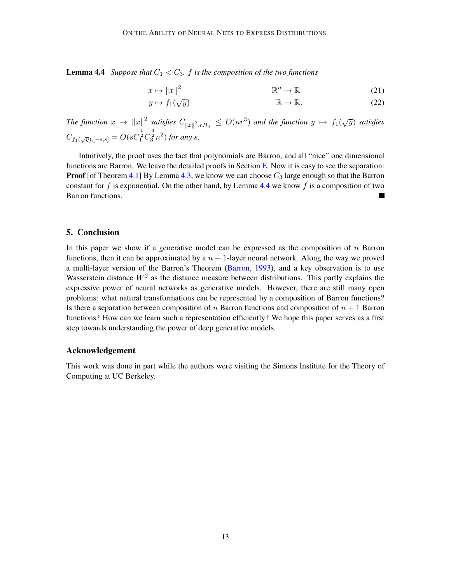**Lemma 4.4** *Suppose that*  $C_1 < C_3$ *. f is the composition of the two functions* 

$$
x \mapsto ||x||^2 \qquad \mathbb{R}^n \to \mathbb{R} \tag{21}
$$

$$
y \mapsto f_1(\sqrt{y}) \qquad \mathbb{R} \to \mathbb{R}.
$$
 (22)

The function  $x \mapsto ||x||^2$  satisfies  $C_{||x||^2, rB_n} \leq O(nr^3)$  and the function  $y \mapsto f_1(\sqrt{y})$  satisfies  $C_{f_1(\sqrt{y}),[-s,s]} = O(sC_1^{\frac{1}{2}}C_3^{\frac{3}{2}}n^2)$  for any *s*.

Intuitively, the proof uses the fact that polynomials are Barron, and all "nice" one dimensional functions are Barron. We leave the detailed proofs in Section [E.](#page-19-0) Now it is easy to see the separation: **Proof** [of Theorem [4.1\]](#page-9-0) By Lemma [4.3,](#page-11-4) we know we can choose  $C_3$  large enough so that the Barron constant for  $f$  is exponential. On the other hand, by Lemma [4.4](#page-11-3) we know  $f$  is a composition of two Barron functions.

## 5. Conclusion

In this paper we show if a generative model can be expressed as the composition of  $n$  Barron functions, then it can be approximated by a  $n + 1$ -layer neural network. Along the way we proved a multi-layer version of the Barron's Theorem [\(Barron,](#page-13-0) [1993\)](#page-13-0), and a key observation is to use Wasserstein distance  $W^2$  as the distance measure between distributions. This partly explains the expressive power of neural networks as generative models. However, there are still many open problems: what natural transformations can be represented by a composition of Barron functions? Is there a separation between composition of  $n$  Barron functions and composition of  $n + 1$  Barron functions? How can we learn such a representation efficiently? We hope this paper serves as a first step towards understanding the power of deep generative models.

### Acknowledgement

This work was done in part while the authors were visiting the Simons Institute for the Theory of Computing at UC Berkeley.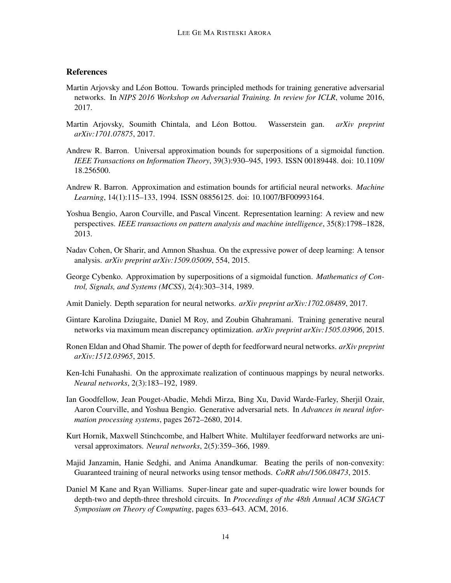# **References**

- <span id="page-13-12"></span>Martin Arjovsky and Léon Bottou. Towards principled methods for training generative adversarial networks. In *NIPS 2016 Workshop on Adversarial Training. In review for ICLR*, volume 2016, 2017.
- <span id="page-13-13"></span>Martin Arjovsky, Soumith Chintala, and Léon Bottou. Wasserstein gan. *arXiv preprint arXiv:1701.07875*, 2017.
- <span id="page-13-0"></span>Andrew R. Barron. Universal approximation bounds for superpositions of a sigmoidal function. *IEEE Transactions on Information Theory*, 39(3):930–945, 1993. ISSN 00189448. doi: 10.1109/ 18.256500.
- <span id="page-13-10"></span>Andrew R. Barron. Approximation and estimation bounds for artificial neural networks. *Machine Learning*, 14(1):115–133, 1994. ISSN 08856125. doi: 10.1007/BF00993164.
- <span id="page-13-1"></span>Yoshua Bengio, Aaron Courville, and Pascal Vincent. Representation learning: A review and new perspectives. *IEEE transactions on pattern analysis and machine intelligence*, 35(8):1798–1828, 2013.
- <span id="page-13-8"></span>Nadav Cohen, Or Sharir, and Amnon Shashua. On the expressive power of deep learning: A tensor analysis. *arXiv preprint arXiv:1509.05009*, 554, 2015.
- <span id="page-13-4"></span>George Cybenko. Approximation by superpositions of a sigmoidal function. *Mathematics of Control, Signals, and Systems (MCSS)*, 2(4):303–314, 1989.
- <span id="page-13-7"></span>Amit Daniely. Depth separation for neural networks. *arXiv preprint arXiv:1702.08489*, 2017.
- <span id="page-13-14"></span>Gintare Karolina Dziugaite, Daniel M Roy, and Zoubin Ghahramani. Training generative neural networks via maximum mean discrepancy optimization. *arXiv preprint arXiv:1505.03906*, 2015.
- <span id="page-13-3"></span>Ronen Eldan and Ohad Shamir. The power of depth for feedforward neural networks. *arXiv preprint arXiv:1512.03965*, 2015.
- <span id="page-13-5"></span>Ken-Ichi Funahashi. On the approximate realization of continuous mappings by neural networks. *Neural networks*, 2(3):183–192, 1989.
- <span id="page-13-2"></span>Ian Goodfellow, Jean Pouget-Abadie, Mehdi Mirza, Bing Xu, David Warde-Farley, Sherjil Ozair, Aaron Courville, and Yoshua Bengio. Generative adversarial nets. In *Advances in neural information processing systems*, pages 2672–2680, 2014.
- <span id="page-13-6"></span>Kurt Hornik, Maxwell Stinchcombe, and Halbert White. Multilayer feedforward networks are universal approximators. *Neural networks*, 2(5):359–366, 1989.
- <span id="page-13-11"></span>Majid Janzamin, Hanie Sedghi, and Anima Anandkumar. Beating the perils of non-convexity: Guaranteed training of neural networks using tensor methods. *CoRR abs/1506.08473*, 2015.
- <span id="page-13-9"></span>Daniel M Kane and Ryan Williams. Super-linear gate and super-quadratic wire lower bounds for depth-two and depth-three threshold circuits. In *Proceedings of the 48th Annual ACM SIGACT Symposium on Theory of Computing*, pages 633–643. ACM, 2016.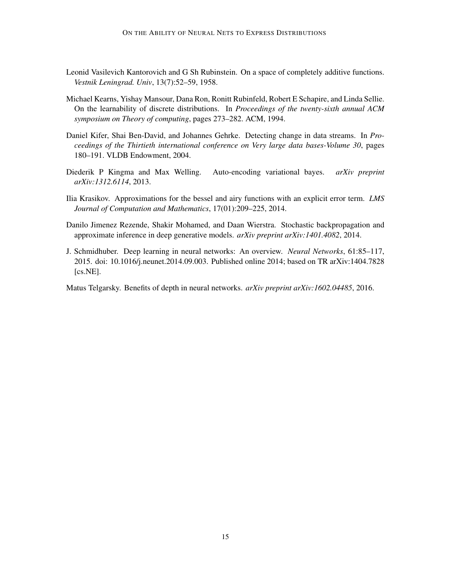- <span id="page-14-7"></span>Leonid Vasilevich Kantorovich and G Sh Rubinstein. On a space of completely additive functions. *Vestnik Leningrad. Univ*, 13(7):52–59, 1958.
- <span id="page-14-4"></span>Michael Kearns, Yishay Mansour, Dana Ron, Ronitt Rubinfeld, Robert E Schapire, and Linda Sellie. On the learnability of discrete distributions. In *Proceedings of the twenty-sixth annual ACM symposium on Theory of computing*, pages 273–282. ACM, 1994.
- <span id="page-14-5"></span>Daniel Kifer, Shai Ben-David, and Johannes Gehrke. Detecting change in data streams. In *Proceedings of the Thirtieth international conference on Very large data bases-Volume 30*, pages 180–191. VLDB Endowment, 2004.
- <span id="page-14-1"></span>Diederik P Kingma and Max Welling. Auto-encoding variational bayes. *arXiv preprint arXiv:1312.6114*, 2013.
- <span id="page-14-6"></span>Ilia Krasikov. Approximations for the bessel and airy functions with an explicit error term. *LMS Journal of Computation and Mathematics*, 17(01):209–225, 2014.
- <span id="page-14-2"></span>Danilo Jimenez Rezende, Shakir Mohamed, and Daan Wierstra. Stochastic backpropagation and approximate inference in deep generative models. *arXiv preprint arXiv:1401.4082*, 2014.
- <span id="page-14-0"></span>J. Schmidhuber. Deep learning in neural networks: An overview. *Neural Networks*, 61:85–117, 2015. doi: 10.1016/j.neunet.2014.09.003. Published online 2014; based on TR arXiv:1404.7828 [cs.NE].

<span id="page-14-3"></span>Matus Telgarsky. Benefits of depth in neural networks. *arXiv preprint arXiv:1602.04485*, 2016.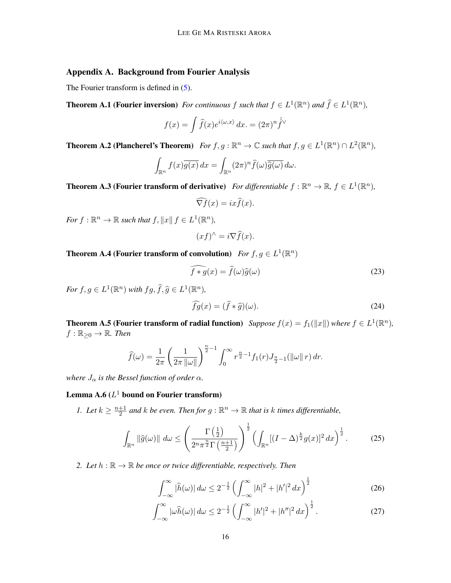# <span id="page-15-0"></span>Appendix A. Background from Fourier Analysis

The Fourier transform is defined in  $(5)$ .

**Theorem A.1 (Fourier inversion)** For continuous f such that  $f \in L^1(\mathbb{R}^n)$  and  $\widehat{f} \in L^1(\mathbb{R}^n)$ ,

$$
f(x) = \int \hat{f}(x)e^{i\langle \omega, x \rangle} dx. = (2\pi)^n \hat{f}^{\vee}
$$

<span id="page-15-4"></span>**Theorem A.2 (Plancherel's Theorem)** For  $f, g : \mathbb{R}^n \to \mathbb{C}$  such that  $f, g \in L^1(\mathbb{R}^n) \cap L^2(\mathbb{R}^n)$ ,

$$
\int_{\mathbb{R}^n} f(x)\overline{g(x)} dx = \int_{\mathbb{R}^n} (2\pi)^n \widehat{f}(\omega) \overline{\widehat{g}(\omega)} d\omega.
$$

<span id="page-15-1"></span>**Theorem A.3 (Fourier transform of derivative)** For differentiable  $f : \mathbb{R}^n \to \mathbb{R}$ ,  $f \in L^1(\mathbb{R}^n)$ ,

$$
\widehat{\nabla f}(x) = ix\widehat{f}(x).
$$

*For*  $f: \mathbb{R}^n \to \mathbb{R}$  *such that*  $f, ||x|| f \in L^1(\mathbb{R}^n)$ *,* 

$$
(xf)^{\wedge} = i \nabla \widehat{f}(x).
$$

<span id="page-15-5"></span>**Theorem A.4 (Fourier transform of convolution)** *For*  $f, g \in L^1(\mathbb{R}^n)$ 

$$
\widehat{f * g}(x) = \widehat{f}(\omega)\widehat{g}(\omega)
$$
\n(23)

*For*  $f, g \in L^1(\mathbb{R}^n)$  *with*  $fg, \hat{f}, \hat{g} \in L^1(\mathbb{R}^n)$ *,* 

$$
\widehat{fg}(x) = (\widehat{f} * \widehat{g})(\omega). \tag{24}
$$

<span id="page-15-3"></span>**Theorem A.5 (Fourier transform of radial function)** Suppose  $f(x) = f_1(\Vert x \Vert)$  where  $f \in L^1(\mathbb{R}^n)$ ,  $f: \mathbb{R}_{\geq 0} \to \mathbb{R}$ . Then

$$
\widehat{f}(\omega) = \frac{1}{2\pi} \left( \frac{1}{2\pi \|\omega\|} \right)^{\frac{n}{2}-1} \int_0^\infty r^{\frac{n}{2}-1} f_1(r) J_{\frac{n}{2}-1}(\|\omega\| \, r) \, dr.
$$

*where*  $J_{\alpha}$  *is the Bessel function of order*  $\alpha$ *.* 

# <span id="page-15-2"></span>Lemma A.6 ( $L^1$  bound on Fourier transform)

*1.* Let  $k \geq \frac{n+1}{2}$  $\frac{+1}{2}$  and  $k$  be even. Then for  $g : \mathbb{R}^n \to \mathbb{R}$  that is  $k$  times differentiable,

$$
\int_{\mathbb{R}^n} \|\widehat{g}(\omega)\| \, d\omega \le \left(\frac{\Gamma\left(\frac{1}{2}\right)}{2^n \pi^{\frac{n}{2}} \Gamma\left(\frac{n+1}{2}\right)}\right)^{\frac{1}{2}} \left(\int_{\mathbb{R}^n} [(I-\Delta)^{\frac{k}{2}} g(x)]^2 \, dx\right)^{\frac{1}{2}}.\tag{25}
$$

*2. Let*  $h : \mathbb{R} \to \mathbb{R}$  *be once or twice differentiable, respectively. Then* 

$$
\int_{-\infty}^{\infty} |\widehat{h}(\omega)| d\omega \le 2^{-\frac{1}{2}} \left( \int_{-\infty}^{\infty} |h|^2 + |h'|^2 dx \right)^{\frac{1}{2}} \tag{26}
$$

$$
\int_{-\infty}^{\infty} |\omega \widehat{h}(\omega)| d\omega \le 2^{-\frac{1}{2}} \left( \int_{-\infty}^{\infty} |h'|^2 + |h''|^2 dx \right)^{\frac{1}{2}}.
$$
 (27)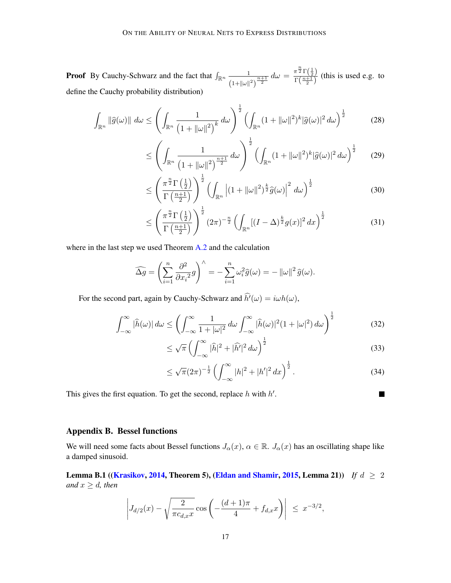**Proof** By Cauchy-Schwarz and the fact that  $\int_{\mathbb{R}^n} \frac{1}{\sqrt{1-\frac{1}{n}}$  $\frac{1}{(1+\|\omega\|^2)^{\frac{n+1}{2}}}d\omega = \frac{\pi^{\frac{n}{2}}\Gamma(\frac{1}{2})}{\Gamma(\frac{n+1}{2})}$  $\frac{\Gamma(\frac{n+1}{2})}{\Gamma(\frac{n+1}{2})}$  (this is used e.g. to define the Cauchy probability distribution)

$$
\int_{\mathbb{R}^n} \|\widehat{g}(\omega)\| \, d\omega \le \left(\int_{\mathbb{R}^n} \frac{1}{\left(1 + \|\omega\|^2\right)^k} \, d\omega\right)^{\frac{1}{2}} \left(\int_{\mathbb{R}^n} (1 + \|\omega\|^2)^k |\widehat{g}(\omega)|^2 \, d\omega\right)^{\frac{1}{2}} \tag{28}
$$

$$
\leq \left(\int_{\mathbb{R}^n} \frac{1}{\left(1+\|\omega\|^2\right)^{\frac{n+1}{2}}} d\omega\right)^{\frac{1}{2}} \left(\int_{\mathbb{R}^n} (1+\|\omega\|^2)^k |\widehat{g}(\omega)|^2 d\omega\right)^{\frac{1}{2}} \tag{29}
$$

$$
\leq \left(\frac{\pi^{\frac{n}{2}}\Gamma\left(\frac{1}{2}\right)}{\Gamma\left(\frac{n+1}{2}\right)}\right)^{\frac{1}{2}} \left(\int_{\mathbb{R}^n} \left| (1+\|\omega\|^2)^{\frac{k}{2}} \hat{g}(\omega) \right|^2 d\omega \right)^{\frac{1}{2}} \tag{30}
$$

$$
\leq \left(\frac{\pi^{\frac{n}{2}}\Gamma\left(\frac{1}{2}\right)}{\Gamma\left(\frac{n+1}{2}\right)}\right)^{\frac{1}{2}}\left(2\pi\right)^{-\frac{n}{2}}\left(\int_{\mathbb{R}^n}[(I-\Delta)^{\frac{k}{2}}g(x)]^2\,dx\right)^{\frac{1}{2}}\tag{31}
$$

where in the last step we used Theorem [A.2](#page-15-4) and the calculation

$$
\widehat{\Delta g} = \left(\sum_{i=1}^n \frac{\partial^2}{\partial x_i^2} g\right)^\wedge = -\sum_{i=1}^n \omega_i^2 \widehat{g}(\omega) = -\|\omega\|^2 \widehat{g}(\omega).
$$

For the second part, again by Cauchy-Schwarz and  $\widehat{h'}(\omega) = i\omega h(\omega)$ ,

$$
\int_{-\infty}^{\infty} |\widehat{h}(\omega)| d\omega \le \left( \int_{-\infty}^{\infty} \frac{1}{1+|\omega|^2} d\omega \int_{-\infty}^{\infty} |\widehat{h}(\omega)|^2 (1+|\omega|^2) d\omega \right)^{\frac{1}{2}} \tag{32}
$$

$$
\leq \sqrt{\pi} \left( \int_{-\infty}^{\infty} |\hat{h}|^2 + |\hat{h'}|^2 \, d\omega \right)^{\frac{1}{2}} \tag{33}
$$

$$
\leq \sqrt{\pi} (2\pi)^{-\frac{1}{2}} \left( \int_{-\infty}^{\infty} |h|^2 + |h'|^2 \, dx \right)^{\frac{1}{2}}.
$$
\n(34)

This gives the first equation. To get the second, replace  $h$  with  $h'$ .

$$
\blacksquare
$$

## Appendix B. Bessel functions

We will need some facts about Bessel functions  $J_{\alpha}(x), \alpha \in \mathbb{R}$ .  $J_{\alpha}(x)$  has an oscillating shape like a damped sinusoid.

<span id="page-16-0"></span>Lemma B.1 ([\(Krasikov,](#page-14-6) [2014,](#page-14-6) Theorem 5), [\(Eldan and Shamir,](#page-13-3) [2015,](#page-13-3) Lemma 21)) *If*  $d \geq 2$ *and*  $x \ge d$ *, then* 

$$
\left| J_{d/2}(x) - \sqrt{\frac{2}{\pi c_{d,x} x}} \cos \left( -\frac{(d+1)\pi}{4} + f_{d,x} x \right) \right| \leq x^{-3/2},
$$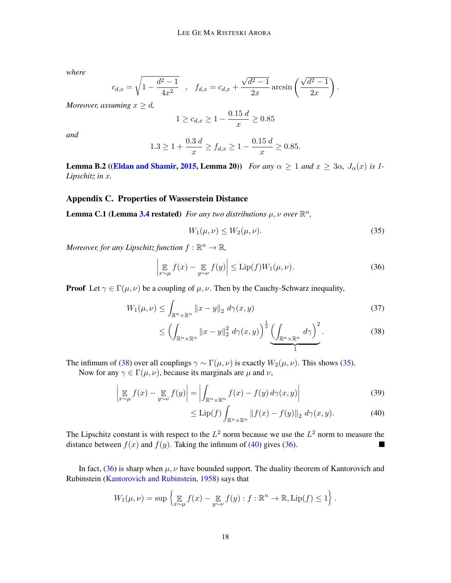*where*

$$
c_{d,x} = \sqrt{1 - \frac{d^2 - 1}{4x^2}} \quad , \quad f_{d,x} = c_{d,x} + \frac{\sqrt{d^2 - 1}}{2x} \arcsin\left(\frac{\sqrt{d^2 - 1}}{2x}\right).
$$

*Moreover, assuming*  $x \geq d$ ,

$$
1 \ge c_{d,x} \ge 1 - \frac{0.15 \, d}{x} \ge 0.85
$$

*and*

$$
1.3 \ge 1 + \frac{0.3 d}{x} \ge f_{d,x} \ge 1 - \frac{0.15 d}{x} \ge 0.85.
$$

<span id="page-17-5"></span>**Lemma B.2** ([\(Eldan and Shamir,](#page-13-3) [2015,](#page-13-3) Lemma 20)) *For any*  $\alpha \ge 1$  *and*  $x \ge 3\alpha$ ,  $J_{\alpha}(x)$  *is 1*-*Lipschitz in x.* 

# <span id="page-17-0"></span>Appendix C. Properties of Wasserstein Distance

**Lemma C.1 (Lemma [3.4](#page-6-2) restated)** For any two distributions  $\mu$ ,  $\nu$  over  $\mathbb{R}^n$ ,

<span id="page-17-4"></span><span id="page-17-2"></span>
$$
W_1(\mu,\nu) \le W_2(\mu,\nu). \tag{35}
$$

*Moreover, for any Lipschitz function*  $f : \mathbb{R}^n \to \mathbb{R}$ *,* 

$$
\left| \mathop{\mathbb{E}}_{x \sim \mu} f(x) - \mathop{\mathbb{E}}_{y \sim \nu} f(y) \right| \le \text{Lip}(f) W_1(\mu, \nu). \tag{36}
$$

**Proof** Let  $\gamma \in \Gamma(\mu, \nu)$  be a coupling of  $\mu, \nu$ . Then by the Cauchy-Schwarz inequality,

$$
W_1(\mu,\nu) \le \int_{\mathbb{R}^n \times \mathbb{R}^n} ||x - y||_2 \, d\gamma(x,y) \tag{37}
$$

$$
\leq \left(\int_{\mathbb{R}^n \times \mathbb{R}^n} \|x - y\|_2^2 \ d\gamma(x, y)\right)^{\frac{1}{2}} \underbrace{\left(\int_{\mathbb{R}^n \times \mathbb{R}^n} d\gamma\right)^2}_{1}.
$$

The infimum of [\(38\)](#page-17-1) over all couplings  $\gamma \sim \Gamma(\mu, \nu)$  is exactly  $W_2(\mu, \nu)$ . This shows [\(35\)](#page-17-2).

Now for any  $\gamma \in \Gamma(\mu, \nu)$ , because its marginals are  $\mu$  and  $\nu$ ,

$$
\left| \mathop{\mathbb{E}}_{x \sim \mu} f(x) - \mathop{\mathbb{E}}_{y \sim \nu} f(y) \right| = \left| \int_{\mathbb{R}^n \times \mathbb{R}^n} f(x) - f(y) \, d\gamma(x, y) \right| \tag{39}
$$

<span id="page-17-3"></span><span id="page-17-1"></span>
$$
\leq \mathrm{Lip}(f) \int_{\mathbb{R}^n \times \mathbb{R}^n} \left\| f(x) - f(y) \right\|_2 \, d\gamma(x, y). \tag{40}
$$

The Lipschitz constant is with respect to the  $L^2$  norm because we use the  $L^2$  norm to measure the distance between  $f(x)$  and  $f(y)$ . Taking the infimum of [\(40\)](#page-17-3) gives [\(36\)](#page-17-4). П

In fact, [\(36\)](#page-17-4) is sharp when  $\mu$ ,  $\nu$  have bounded support. The duality theorem of Kantorovich and Rubinstein [\(Kantorovich and Rubinstein,](#page-14-7) [1958\)](#page-14-7) says that

$$
W_1(\mu,\nu)=\sup\left\{\mathop{\mathbb{E}}_{x\sim\mu}f(x)-\mathop{\mathbb{E}}_{y\sim\nu}f(y):f:\mathbb{R}^n\to\mathbb{R},\text{Lip}(f)\leq 1\right\}.
$$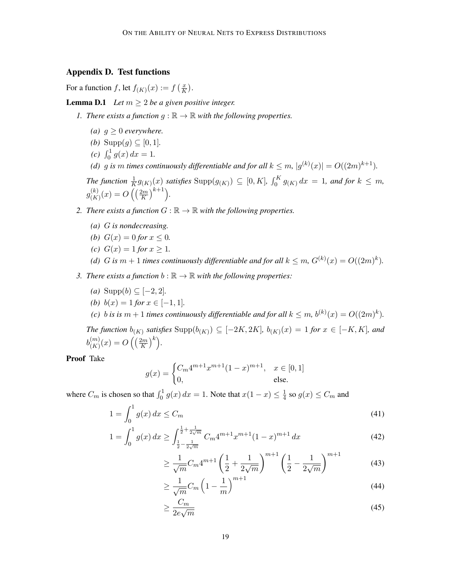# Appendix D. Test functions

For a function f, let  $f_{(K)}(x) := f\left(\frac{x}{K}\right)$  $\frac{x}{K}$ .

<span id="page-18-0"></span>**Lemma D.1** *Let*  $m \geq 2$  *be a given positive integer.* 

- *1. There exists a function*  $q : \mathbb{R} \to \mathbb{R}$  with the following properties.
	- *(a)*  $q \geq 0$  *everywhere.*
	- *(b)* Supp $(g) \subseteq [0, 1]$ .
	- (c)  $\int_0^1 g(x) dx = 1.$
	- (d) g is  $m$  times continuously differentiable and for all  $k \leq m$ ,  $|g^{(k)}(x)| = O((2m)^{k+1})$ .

*The function*  $\frac{1}{K}g_{(K)}(x)$  satisfies  $\text{Supp}(g_{(K)}) \subseteq [0, K]$ ,  $\int_0^K g_{(K)} dx = 1$ , and for  $k \leq m$ ,  $g^{(k)}_{\ell\,K}$  $\binom{(k)}{(K)}(x) = O\left(\left(\frac{2m}{K}\right)\right)$  $\frac{(2m)}{K}$ <sup>k+1</sup>).

- *2. There exists a function*  $G : \mathbb{R} \to \mathbb{R}$  *with the following properties.* 
	- *(a) is nondecreasing.*
	- *(b)*  $G(x) = 0$  *for*  $x \le 0$ *.*
	- *(c)*  $G(x) = 1$  *for*  $x \ge 1$ *.*
	- *(d) G* is  $m + 1$  *times continuously differentiable and for all*  $k \leq m$ ,  $G^{(k)}(x) = O((2m)^k)$ .
- *3. There exists a function*  $b : \mathbb{R} \to \mathbb{R}$  *with the following properties:* 
	- *(a)* Supp $(b)$  ⊆  $[-2, 2]$ *.*
	- *(b)*  $b(x) = 1$  *for*  $x \in [-1, 1]$ *.*
	- (c) *b* is is  $m + 1$  times continuously differentiable and for all  $k \leq m$ ,  $b^{(k)}(x) = O((2m)^k)$ .

The function  $b_{(K)}$  satisfies  $\text{Supp}(b_{(K)}) \subseteq [-2K, 2K]$ ,  $b_{(K)}(x) = 1$  for  $x \in [-K, K]$ , and  $b^{(m)}_{(K)}$  $\binom{m}{(K)}(x) = O\left(\left(\frac{2m}{K}\right)\right)$  $\frac{(2m)}{K}$ <sup>k</sup>).

Proof Take

$$
g(x) = \begin{cases} C_m 4^{m+1} x^{m+1} (1-x)^{m+1}, & x \in [0,1] \\ 0, & \text{else.} \end{cases}
$$

where  $C_m$  is chosen so that  $\int_0^1 g(x) dx = 1$ . Note that  $x(1-x) \leq \frac{1}{4}$  $\frac{1}{4}$  so  $g(x) \leq C_m$  and

$$
1 = \int_0^1 g(x) dx \le C_m \tag{41}
$$

$$
1 = \int_0^1 g(x) \, dx \ge \int_{\frac{1}{2} - \frac{1}{2\sqrt{m}}}^{\frac{1}{2} + \frac{1}{2\sqrt{m}}} C_m 4^{m+1} x^{m+1} (1 - x)^{m+1} \, dx \tag{42}
$$

$$
\geq \frac{1}{\sqrt{m}} C_m 4^{m+1} \left( \frac{1}{2} + \frac{1}{2\sqrt{m}} \right)^{m+1} \left( \frac{1}{2} - \frac{1}{2\sqrt{m}} \right)^{m+1} \tag{43}
$$

$$
\geq \frac{1}{\sqrt{m}} C_m \left( 1 - \frac{1}{m} \right)^{m+1} \tag{44}
$$

$$
\geq \frac{C_m}{2e\sqrt{m}}\tag{45}
$$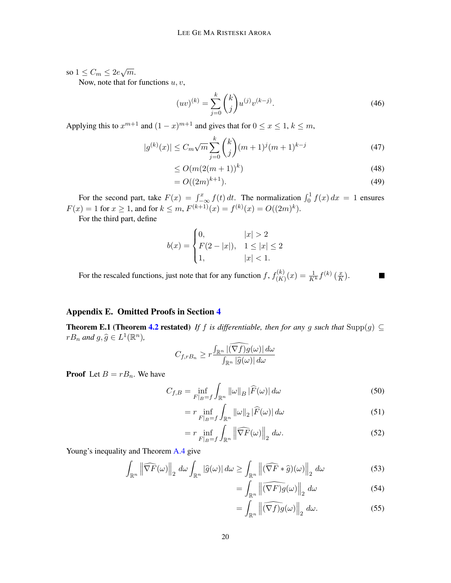so  $1 \leq C_m \leq 2e\sqrt{m}$ .

Now, note that for functions  $u, v$ ,

$$
(uv)^{(k)} = \sum_{j=0}^{k} {k \choose j} u^{(j)} v^{(k-j)}.
$$
\n(46)

Applying this to  $x^{m+1}$  and  $(1-x)^{m+1}$  and gives that for  $0 \le x \le 1$ ,  $k \le m$ ,

$$
|g^{(k)}(x)| \le C_m \sqrt{m} \sum_{j=0}^k {k \choose j} (m+1)^j (m+1)^{k-j} \tag{47}
$$

$$
\leq O(m(2(m+1))^k) \tag{48}
$$

$$
=O((2m)^{k+1}).
$$
\n(49)

For the second part, take  $F(x) = \int_{-\infty}^{x} f(t) dt$ . The normalization  $\int_0^1 f(x) dx = 1$  ensures  $F(x) = 1$  for  $x \ge 1$ , and for  $k \le m$ ,  $F^{(k+1)}(x) = f^{(k)}(x) = O((2m)^k)$ .

For the third part, define

$$
b(x) = \begin{cases} 0, & |x| > 2 \\ F(2 - |x|), & 1 \le |x| \le 2 \\ 1, & |x| < 1. \end{cases}
$$

For the rescaled functions, just note that for any function f,  $f_{(K)}^{(k)}$  $\binom{\cdot(k)}{(K)}(x) = \frac{1}{K^k} f^{(k)}\left(\frac{x}{K}\right)$  $\frac{x}{K}$ . п

# <span id="page-19-0"></span>Appendix E. Omitted Proofs in Section [4](#page-9-1)

**Theorem E.1 (Theorem [4.2](#page-11-0) restated)** *If f* is differentiable, then for any g such that  $\text{Supp}(g) \subseteq$  $rB_n$  and  $g, \hat{g} \in L^1(\mathbb{R}^n)$ ,

$$
C_{f,rB_n} \ge r \frac{\int_{\mathbb{R}^n} |(\nabla f)g(\omega)| d\omega}{\int_{\mathbb{R}^n} |\widehat{g}(\omega)| d\omega}
$$

**Proof** Let  $B = rB_n$ . We have

$$
C_{f,B} = \inf_{F|_{B}=f} \int_{\mathbb{R}^{n}} ||\omega||_{B} |\widehat{F}(\omega)| d\omega
$$
\n(50)

$$
= r \inf_{F|_{B}=f} \int_{\mathbb{R}^{n}} ||\omega||_{2} |\widehat{F}(\omega)| d\omega \tag{51}
$$

$$
= r \inf_{F|_{B}=f} \int_{\mathbb{R}^n} \left\| \widehat{\nabla F}(\omega) \right\|_2 d\omega.
$$
 (52)

Young's inequality and Theorem [A.4](#page-15-5) give

$$
\int_{\mathbb{R}^n} \left\| \widehat{\nabla F}(\omega) \right\|_2 \, d\omega \int_{\mathbb{R}^n} |\widehat{g}(\omega)| \, d\omega \ge \int_{\mathbb{R}^n} \left\| (\widehat{\nabla F} * \widehat{g})(\omega) \right\|_2 \, d\omega \tag{53}
$$

$$
= \int_{\mathbb{R}^n} \left\| \widehat{(\nabla F)g}(\omega) \right\|_2 d\omega \tag{54}
$$

$$
= \int_{\mathbb{R}^n} \left\| \widehat{(\nabla f)g}(\omega) \right\|_2 d\omega. \tag{55}
$$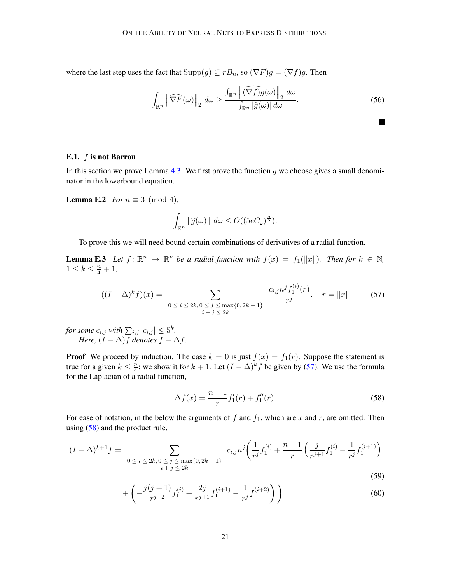where the last step uses the fact that  $\text{Supp}(g) \subseteq rB_n$ , so  $(\nabla F)g = (\nabla f)g$ . Then

$$
\int_{\mathbb{R}^n} \left\| \widehat{\nabla F}(\omega) \right\|_2 \, d\omega \ge \frac{\int_{\mathbb{R}^n} \left\| \widehat{(\nabla f)} g(\omega) \right\|_2 \, d\omega}{\int_{\mathbb{R}^n} |\widehat{g}(\omega)| \, d\omega}.
$$
\n(56)

<span id="page-20-5"></span><span id="page-20-1"></span>П

### <span id="page-20-0"></span>E.1.  $f$  is not Barron

In this section we prove Lemma [4.3.](#page-11-4) We first prove the function  $g$  we choose gives a small denominator in the lowerbound equation.

<span id="page-20-4"></span>**Lemma E.2** *For*  $n \equiv 3 \pmod{4}$ *,* 

$$
\int_{\mathbb{R}^n} \|\widehat{g}(\omega)\| \ d\omega \le O((5eC_2)^{\frac{n}{2}}).
$$

To prove this we will need bound certain combinations of derivatives of a radial function.

**Lemma E.3** Let  $f: \mathbb{R}^n \to \mathbb{R}^n$  be a radial function with  $f(x) = f_1(\Vert x \Vert)$ . Then for  $k \in \mathbb{N}$ ,  $1 \leq k \leq \frac{n}{4} + 1$ ,

$$
((I - \Delta)^{k} f)(x) = \sum_{\substack{0 \le i \le 2k, 0 \le j \le \max\{0, 2k - 1\} \\ i + j \le 2k}} \frac{c_{i,j} n^{j} f_{1}^{(i)}(r)}{r^{j}}, \quad r = \|x\|
$$
 (57)

for some  $c_{i,j}$  with  $\sum_{i,j} |c_{i,j}| \leq 5^k$ . *Here,*  $(I - \Delta)f$  *denotes*  $f - \Delta f$ .

**Proof** We proceed by induction. The case  $k = 0$  is just  $f(x) = f_1(r)$ . Suppose the statement is true for a given  $k \leq \frac{n}{4}$  $\frac{n}{4}$ ; we show it for  $k + 1$ . Let  $(I - \Delta)^k f$  be given by [\(57\)](#page-20-1). We use the formula for the Laplacian of a radial function,

<span id="page-20-3"></span><span id="page-20-2"></span>
$$
\Delta f(x) = \frac{n-1}{r} f_1'(r) + f_1''(r). \tag{58}
$$

For ease of notation, in the below the arguments of  $f$  and  $f_1$ , which are  $x$  and  $r$ , are omitted. Then using [\(58\)](#page-20-2) and the product rule,

$$
(I - \Delta)^{k+1} f = \sum_{\substack{0 \le i \le 2k, 0 \le j \le \max\{0, 2k-1\} \\ i+j \le 2k}} c_{i,j} n^j \left(\frac{1}{r^j} f_1^{(i)} + \frac{n-1}{r} \left(\frac{j}{r^{j+1}} f_1^{(i)} - \frac{1}{r^j} f_1^{(i+1)}\right)\right)
$$
(59)

$$
+\left(-\frac{j(j+1)}{r^{j+2}}f_1^{(i)} + \frac{2j}{r^{j+1}}f_1^{(i+1)} - \frac{1}{r^j}f_1^{(i+2)}\right)\right) \tag{60}
$$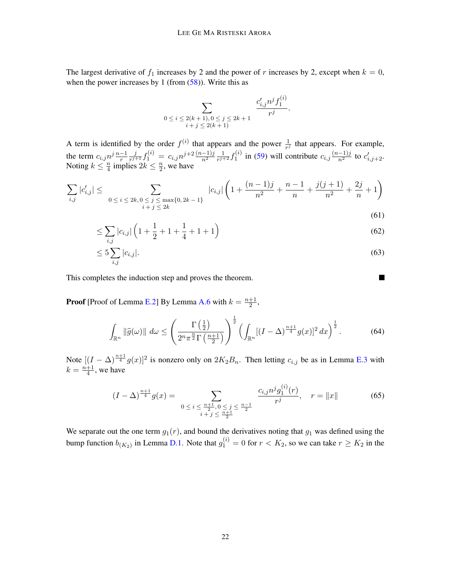The largest derivative of  $f_1$  increases by 2 and the power of  $r$  increases by 2, except when  $k = 0$ , when the power increases by 1 (from  $(58)$ ). Write this as

$$
\sum_{\begin{array}{c}0\le i\le 2(k+1),0\le j\le 2k+1\\i+j\le 2(k+1)\end{array}}\frac{c'_{i,j}n^jf_1^{(i)}}{r^j}.
$$

A term is identified by the order  $f^{(i)}$  that appears and the power  $\frac{1}{r^j}$  that appears. For example, the term  $c_{i,j} n^j \frac{n-1}{r}$ j  $\frac{j}{r^{j+1}}f_1^{(i)} = c_{i,j}n^{j+2}\frac{(n-1)j}{n^2}\frac{1}{r^{j+1}}$  $\frac{1}{r^{j+2}}f_1^{(i)}$  $\sum_{i=1}^{(i)}$  in [\(59\)](#page-20-3) will contribute  $c_{i,j} \frac{(n-1)j}{n^2}$  to  $c'_{i,j+2}$ . Noting  $k \leq \frac{n}{4}$  $\frac{n}{4}$  implies  $2k \leq \frac{n}{2}$  $\frac{n}{2}$ , we have

$$
\sum_{i,j} |c'_{i,j}| \le \sum_{\substack{0 \le i \le 2k, 0 \le j \le \max\{0, 2k - 1\} \\ i + j \le 2k}} |c_{i,j}| \left( 1 + \frac{(n-1)j}{n^2} + \frac{n-1}{n} + \frac{j(j+1)}{n^2} + \frac{2j}{n} + 1 \right)
$$
\n
$$
(61)
$$

$$
\leq \sum_{i,j} |c_{i,j}| \left( 1 + \frac{1}{2} + 1 + \frac{1}{4} + 1 + 1 \right) \tag{62}
$$

$$
\leq 5\sum_{i,j}|c_{i,j}|.\tag{63}
$$

<span id="page-21-0"></span> $\blacksquare$ 

This completes the induction step and proves the theorem.

**Proof** [Proof of Lemma [E.2\]](#page-20-4) By Lemma [A.6](#page-15-2) with  $k = \frac{n+1}{2}$  $\frac{+1}{2}$ ,

$$
\int_{\mathbb{R}^n} \|\widehat{g}(\omega)\| \, d\omega \le \left(\frac{\Gamma\left(\frac{1}{2}\right)}{2^n \pi^{\frac{n}{2}} \Gamma\left(\frac{n+1}{2}\right)}\right)^{\frac{1}{2}} \left(\int_{\mathbb{R}^n} [(I-\Delta)^{\frac{n+1}{4}} g(x)]^2 \, dx\right)^{\frac{1}{2}}.\tag{64}
$$

Note  $[(I - \Delta)^{\frac{n+1}{4}} g(x)]^2$  is nonzero only on  $2K_2B_n$ . Then letting  $c_{i,j}$  be as in Lemma [E.3](#page-20-5) with  $k = \frac{n+1}{4}$  $\frac{+1}{4}$ , we have

$$
(I - \Delta)^{\frac{n+1}{4}} g(x) = \sum_{\substack{0 \le i \le \frac{n+1}{2}, 0 \le j \le \frac{n-1}{2} \\ i+j \le \frac{n+1}{2}}} \frac{c_{i,j} n^j g_1^{(i)}(r)}{r^j}, \quad r = \|x\|
$$
(65)

We separate out the one term  $g_1(r)$ , and bound the derivatives noting that  $g_1$  was defined using the bump function  $b_{(K_2)}$  in Lemma [D.1.](#page-18-0) Note that  $g_1^{(i)} = 0$  for  $r < K_2$ , so we can take  $r \ge K_2$  in the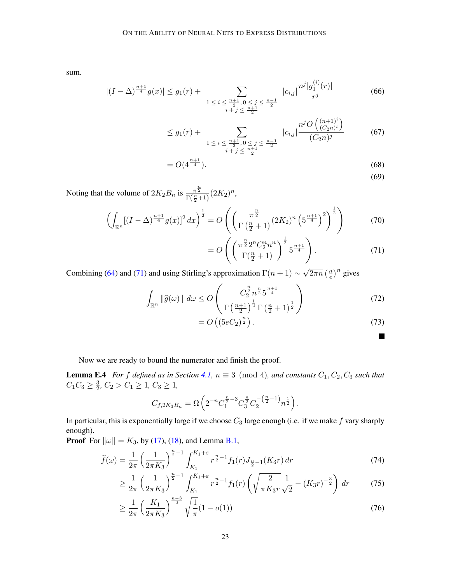sum.

$$
|(I - \Delta)^{\frac{n+1}{4}} g(x)| \le g_1(r) + \sum_{\substack{1 \le i \le \frac{n+1}{2}, 0 \le j \le \frac{n-1}{2} \\ i+j \le \frac{n+1}{2}}} |c_{i,j}| \frac{n^j |g_1^{(i)}(r)|}{r^j}
$$
(66)

$$
\leq g_1(r) + \sum_{\substack{1 \leq i \leq \frac{n+1}{2}, 0 \leq j \leq \frac{n-1}{2} \\ i+j \leq \frac{n+1}{2}}} |c_{i,j}| \frac{n^j O\left(\frac{(n+1)^i}{(C_2 n)^i}\right)}{(C_2 n)^j} \tag{67}
$$

$$
=O(4^{\frac{n+1}{4}}). \tag{68}
$$

<span id="page-22-1"></span>(69)

Noting that the volume of  $2K_2B_n$  is  $\frac{\pi^{\frac{n}{2}}}{\Gamma(\frac{n}{2}+1)}(2K_2)^n$ ,

$$
\left(\int_{\mathbb{R}^n} [(I-\Delta)^{\frac{n+1}{4}} g(x)]^2 dx\right)^{\frac{1}{2}} = O\left(\left(\frac{\pi^{\frac{n}{2}}}{\Gamma(\frac{n}{2}+1)} (2K_2)^n \left(5^{\frac{n+1}{4}}\right)^2\right)^{\frac{1}{2}}\right) \tag{70}
$$

$$
= O\left( \left( \frac{\pi^{\frac{n}{2}} 2^n C_2^n n^n}{\Gamma(\frac{n}{2} + 1)} \right)^{\frac{1}{2}} 5^{\frac{n+1}{4}} \right).
$$
 (71)

Combining [\(64\)](#page-21-0) and [\(71\)](#page-22-1) and using Stirling's approximation  $\Gamma(n + 1) \sim$  $\sqrt{2\pi n}$  ( $\frac{n}{e}$  $\left(\frac{n}{e}\right)^n$  gives

$$
\int_{\mathbb{R}^n} \|\widehat{g}(\omega)\| \, d\omega \le O\left(\frac{C_2^{\frac{n}{2}} n^{\frac{n}{2}} 5^{\frac{n+1}{4}}}{\Gamma\left(\frac{n+1}{2}\right)^{\frac{1}{2}} \Gamma\left(\frac{n}{2}+1\right)^{\frac{1}{2}}}\right) \tag{72}
$$

$$
=O\left(\left(5eC_2\right)^{\frac{n}{2}}\right). \tag{73}
$$

<span id="page-22-2"></span> $\blacksquare$ 

Now we are ready to bound the numerator and finish the proof.

<span id="page-22-0"></span>**Lemma E.4** For f defined as in Section [4.1,](#page-10-0)  $n \equiv 3 \pmod{4}$ , and constants  $C_1, C_2, C_3$  such that  $C_1C_3 \geq \frac{3}{2}$  $\frac{3}{2}$ ,  $C_2 > C_1 \geq 1$ ,  $C_3 \geq 1$ ,

$$
C_{f,2K_3B_n} = \Omega \left( 2^{-n} C_1^{\frac{n}{2}-3} C_3^{\frac{n}{2}} C_2^{-\left(\frac{n}{2}-1\right)} n^{\frac{1}{2}} \right).
$$

In particular, this is exponentially large if we choose  $C_3$  large enough (i.e. if we make  $f$  vary sharply enough).

**Proof** For  $\|\omega\| = K_3$ , by [\(17\)](#page-10-1), [\(18\)](#page-10-2), and Lemma [B.1,](#page-16-0)

$$
\widehat{f}(\omega) = \frac{1}{2\pi} \left(\frac{1}{2\pi K_3}\right)^{\frac{n}{2}-1} \int_{K_1}^{K_1+\varepsilon} r^{\frac{n}{2}-1} f_1(r) J_{\frac{n}{2}-1}(K_3 r) dr \tag{74}
$$

$$
\geq \frac{1}{2\pi} \left(\frac{1}{2\pi K_3}\right)^{\frac{n}{2}-1} \int_{K_1}^{K_1+\varepsilon} r^{\frac{n}{2}-1} f_1(r) \left(\sqrt{\frac{2}{\pi K_3 r}} \frac{1}{\sqrt{2}} - (K_3 r)^{-\frac{3}{2}}\right) dr \tag{75}
$$

$$
\geq \frac{1}{2\pi} \left(\frac{K_1}{2\pi K_3}\right)^{\frac{n-3}{2}} \sqrt{\frac{1}{\pi}} (1 - o(1)) \tag{76}
$$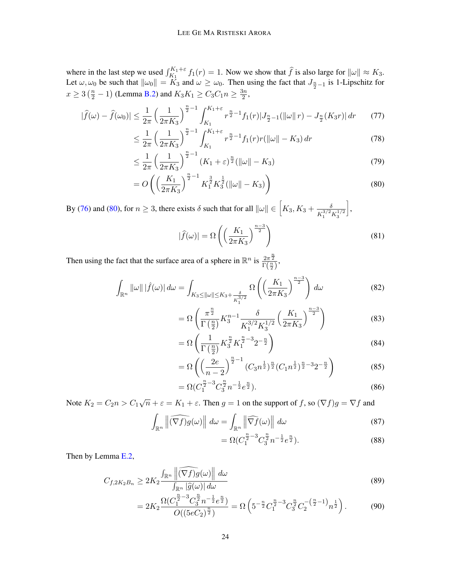where in the last step we used  $\int_{K_1}^{K_1+\epsilon} f_1(r) = 1$ . Now we show that  $\hat{f}$  is also large for  $\|\omega\| \approx K_3$ . Let  $\omega, \omega_0$  be such that  $\|\omega_0\| = K_3$  and  $\omega \ge \omega_0$ . Then using the fact that  $J_{\frac{n}{2}-1}$  is 1-Lipschitz for  $x \ge 3\left(\frac{n}{2} - 1\right)$  (Lemma [B.2\)](#page-17-5) and  $K_3K_1 \ge C_3C_1n \ge \frac{3n}{2}$  $\frac{\sin}{2}$ ,

$$
|\widehat{f}(\omega) - \widehat{f}(\omega_0)| \le \frac{1}{2\pi} \left(\frac{1}{2\pi K_3}\right)^{\frac{n}{2}-1} \int_{K_1}^{K_1+\varepsilon} r^{\frac{n}{2}-1} f_1(r) |J_{\frac{n}{2}-1}(\|\omega\| \, r) - J_{\frac{n}{2}}(K_3 r) | \, dr \tag{77}
$$

$$
\leq \frac{1}{2\pi} \left(\frac{1}{2\pi K_3}\right)^{\frac{n}{2}-1} \int_{K_1}^{K_1+\varepsilon} r^{\frac{n}{2}-1} f_1(r)r(\|\omega\| - K_3) \, dr \tag{78}
$$

$$
\leq \frac{1}{2\pi} \left( \frac{1}{2\pi K_3} \right)^{\frac{n}{2}-1} (K_1 + \varepsilon)^{\frac{n}{2}} (\|\omega\| - K_3)
$$
\n(79)

$$
=O\left(\left(\frac{K_1}{2\pi K_3}\right)^{\frac{n}{2}-1}K_1^{\frac{3}{2}}K_3^{\frac{1}{2}}(\|\omega\|-K_3)\right)
$$
\n(80)

By [\(76\)](#page-22-2) and [\(80\)](#page-23-0), for  $n \geq 3$ , there exists  $\delta$  such that for all  $\|\omega\| \in \left[K_3, K_3 + \frac{\delta}{\kappa^{3/2}}\right]$  $K_1^{3/2} K_3^{1/2}$ ò ,

<span id="page-23-0"></span>
$$
|\widehat{f}(\omega)| = \Omega\left(\left(\frac{K_1}{2\pi K_3}\right)^{\frac{n-3}{2}}\right)
$$
\n(81)

Then using the fact that the surface area of a sphere in  $\mathbb{R}^n$  is  $\frac{2\pi^{\frac{n}{2}}}{\Gamma(\frac{n}{2})}$ ,

$$
\int_{\mathbb{R}^n} \|\omega\| \left|\hat{f}(\omega)\right| d\omega = \int_{K_3 \le \|\omega\| \le K_3 + \frac{\delta}{K_1^{3/2}}} \Omega\left(\left(\frac{K_1}{2\pi K_3}\right)^{\frac{n-3}{2}}\right) d\omega \tag{82}
$$

$$
= \Omega \left( \frac{\pi^{\frac{n}{2}}}{\Gamma(\frac{n}{2})} K_3^{n-1} \frac{\delta}{K_1^{3/2} K_3^{1/2}} \left( \frac{K_1}{2\pi K_3} \right)^{\frac{n-3}{2}} \right)
$$
(83)

$$
= \Omega \left( \frac{1}{\Gamma \left( \frac{n}{2} \right)} K_3^{\frac{n}{2}} K_1^{\frac{n}{2} - 3} 2^{-\frac{n}{2}} \right) \tag{84}
$$

$$
= \Omega \left( \left( \frac{2e}{n-2} \right)^{\frac{n}{2}-1} (C_3 n^{\frac{1}{2}})^{\frac{n}{2}} (C_1 n^{\frac{1}{2}})^{\frac{n}{2}-3} 2^{-\frac{n}{2}} \right)
$$
(85)

$$
= \Omega \left( C_1^{\frac{n}{2} - 3} C_3^{\frac{n}{2}} n^{-\frac{1}{2}} e^{\frac{n}{2}} \right).
$$
 (86)

Note  $K_2 = C_2 n > C_1 \sqrt{n} + \varepsilon = K_1 + \varepsilon$ . Then  $g = 1$  on the support of f, so  $(\nabla f)g = \nabla f$  and

$$
\int_{\mathbb{R}^n} \left\| \widehat{(\nabla f)g}(\omega) \right\| d\omega = \int_{\mathbb{R}^n} \left\| \widehat{\nabla f}(\omega) \right\| d\omega \tag{87}
$$

$$
= \Omega(C_1^{\frac{n}{2}-3}C_3^{\frac{n}{2}}n^{-\frac{1}{2}}e^{\frac{n}{2}}). \tag{88}
$$

Then by Lemma [E.2,](#page-20-4)

$$
C_{f,2K_2B_n} \ge 2K_2 \frac{\int_{\mathbb{R}^n} \left\| \widehat{(\nabla f)g}(\omega) \right\| d\omega}{\int_{\mathbb{R}^n} |\widehat{g}(\omega)| d\omega} \tag{89}
$$

$$
=2K_2\frac{\Omega(C_1^{\frac{n}{2}-3}C_3^{\frac{n}{2}}n^{-\frac{1}{2}}e^{\frac{n}{2}})}{O((5eC_2)^{\frac{n}{2}})}=\Omega\left(5^{-\frac{n}{2}}C_1^{\frac{n}{2}-3}C_3^{\frac{n}{2}}C_2^{-\left(\frac{n}{2}-1\right)}n^{\frac{1}{2}}\right).
$$
(90)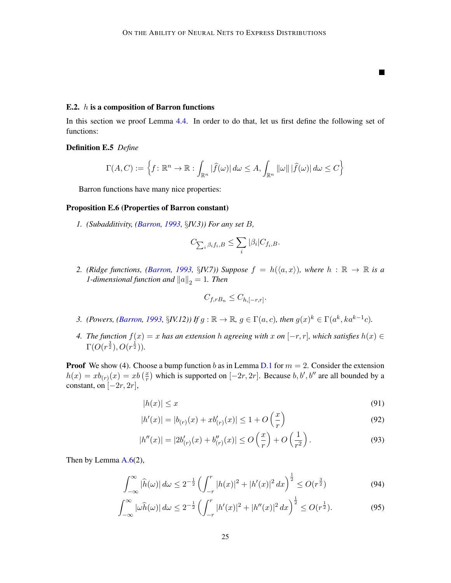П

#### E.2.  $h$  is a composition of Barron functions

In this section we proof Lemma [4.4.](#page-11-3) In order to do that, let us first define the following set of functions:

#### Definition E.5 *Define*

$$
\Gamma(A, C) := \left\{ f \colon \mathbb{R}^n \to \mathbb{R} : \int_{\mathbb{R}^n} |\widehat{f}(\omega)| d\omega \le A, \int_{\mathbb{R}^n} ||\omega|| |\widehat{f}(\omega)| d\omega \le C \right\}
$$

Barron functions have many nice properties:

### <span id="page-24-0"></span>Proposition E.6 (Properties of Barron constant)

*1. (Subadditivity, [\(Barron,](#page-13-0) [1993,](#page-13-0) §IV.3)) For any set B,* 

$$
C_{\sum_i \beta_i f_i,B} \leq \sum_i |\beta_i| C_{f_i,B}.
$$

*2.* (Ridge functions, [\(Barron,](#page-13-0) [1993,](#page-13-0)  $\S$ *IV.7)*) Suppose  $f = h(\langle a, x \rangle)$ , where  $h : \mathbb{R} \to \mathbb{R}$  is a *1-dimensional function and*  $||a||_2 = 1$ *. Then* 

$$
C_{f,rB_n} \leq C_{h,[-r,r]}.
$$

- *3. (Powers, [\(Barron,](#page-13-0) [1993,](#page-13-0) §IV.12))* If  $g : \mathbb{R} \to \mathbb{R}$ ,  $g \in \Gamma(a, c)$ , then  $g(x)^k \in \Gamma(a^k, ka^{k-1}c)$ .
- *4. The function*  $f(x) = x$  *has an extension h agreeing with*  $x$  *on*  $[-r, r]$ *, which satisfies*  $h(x) \in$  $\Gamma(O(r^{\frac{3}{2}}), O(r^{\frac{1}{2}})).$

**Proof** We show (4). Choose a bump function *b* as in Lemma [D.1](#page-18-0) for  $m = 2$ . Consider the extension  $h(x) = xb_{(r)}(x) = xb\left(\frac{x}{r}\right)$  $\frac{x}{r}$ ) which is supported on  $[-2r, 2r]$ . Because  $b, b', b''$  are all bounded by a constant, on  $[-2r, 2r]$ ,

$$
|h(x)| \le x \tag{91}
$$

$$
|h'(x)| = |b_{(r)}(x) + xb'_{(r)}(x)| \le 1 + O\left(\frac{x}{r}\right)
$$
\n(92)

$$
|h''(x)| = |2b'_{(r)}(x) + b''_{(r)}(x)| \le O\left(\frac{x}{r}\right) + O\left(\frac{1}{r^2}\right). \tag{93}
$$

Then by Lemma  $A.6(2)$  $A.6(2)$ ,

$$
\int_{-\infty}^{\infty} |\widehat{h}(\omega)| d\omega \le 2^{-\frac{1}{2}} \left( \int_{-r}^{r} |h(x)|^2 + |h'(x)|^2 dx \right)^{\frac{1}{2}} \le O(r^{\frac{3}{2}})
$$
(94)

$$
\int_{-\infty}^{\infty} |\omega \widehat{h}(\omega)| d\omega \le 2^{-\frac{1}{2}} \left( \int_{-r}^{r} |h'(x)|^2 + |h''(x)|^2 dx \right)^{\frac{1}{2}} \le O(r^{\frac{1}{2}}). \tag{95}
$$